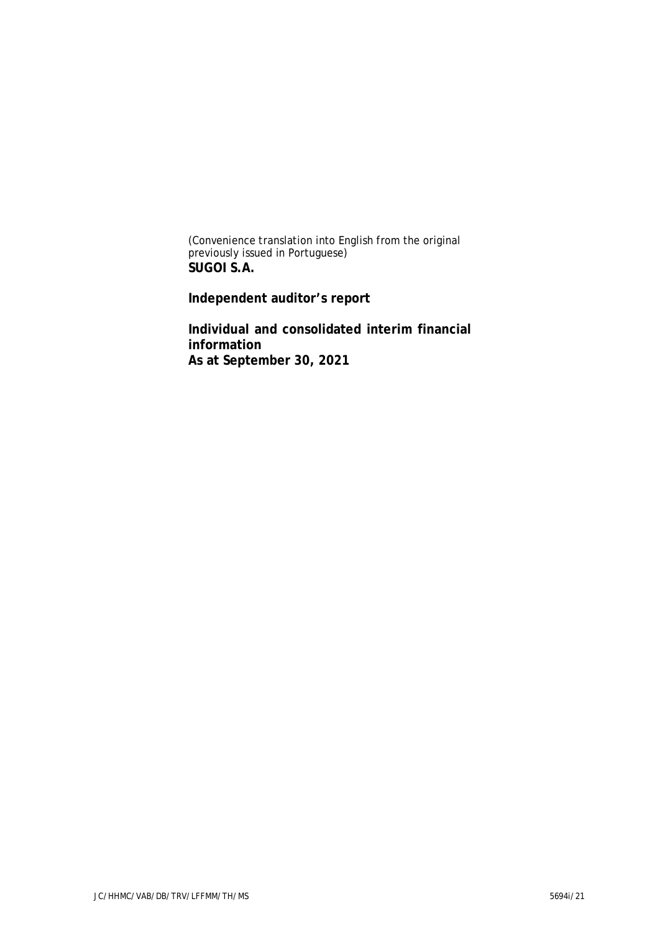(Convenience translation into English from the original previously issued in Portuguese) **SUGOI S.A.**

**Independent auditor's report**

**Individual and consolidated interim financial information As at September 30, 2021**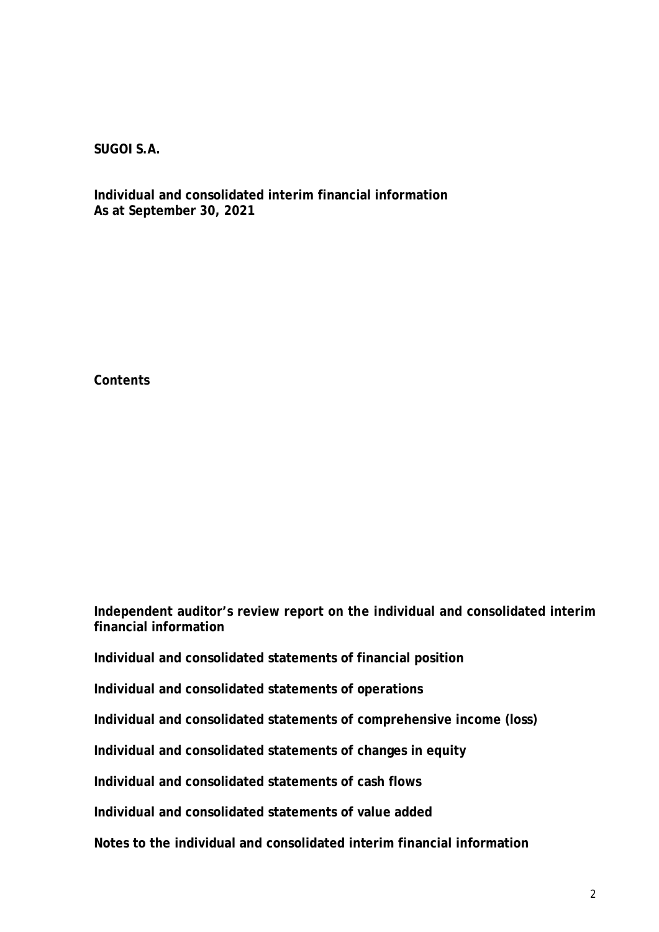**Individual and consolidated interim financial information As at September 30, 2021**

**Contents**

**Independent auditor's review report on the individual and consolidated interim financial information**

**Individual and consolidated statements of financial position**

**Individual and consolidated statements of operations**

**Individual and consolidated statements of comprehensive income (loss)**

**Individual and consolidated statements of changes in equity**

**Individual and consolidated statements of cash flows**

**Individual and consolidated statements of value added**

**Notes to the individual and consolidated interim financial information**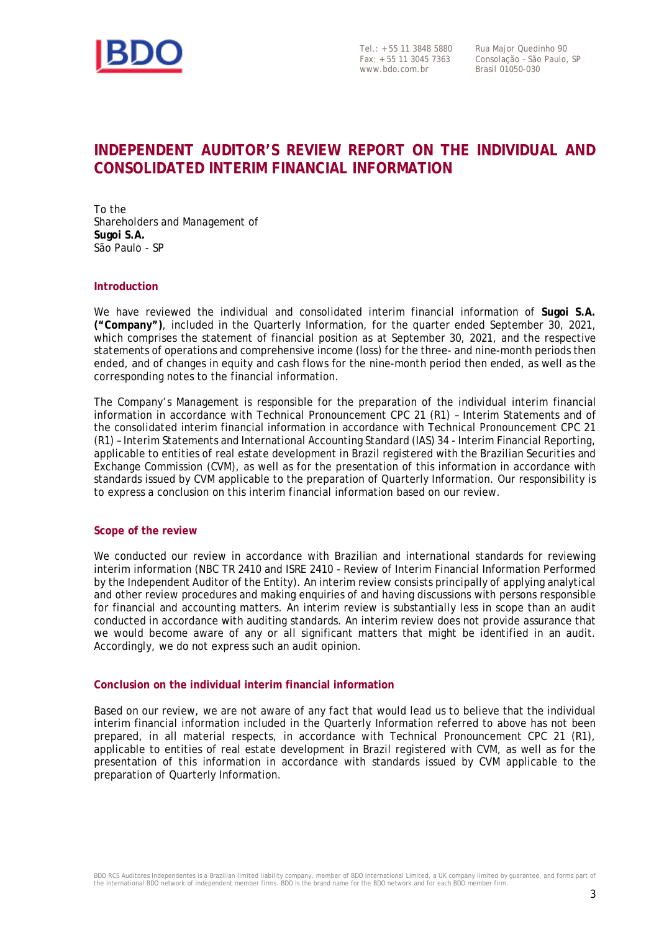

Tel.: + 55 11 3848 5880 Fax: + 55 11 3045 7363 www.bdo.com.br

Rua Major Quedinho 90 Consolação – São Paulo, SP Brasil 01050-030

# **INDEPENDENT AUDITOR'S REVIEW REPORT ON THE INDIVIDUAL AND CONSOLIDATED INTERIM FINANCIAL INFORMATION**

To the Shareholders and Management of **Sugoi S.A.** São Paulo - SP

#### **Introduction**

We have reviewed the individual and consolidated interim financial information of **Sugoi S.A. ("Company")**, included in the Quarterly Information, for the quarter ended September 30, 2021, which comprises the statement of financial position as at September 30, 2021, and the respective statements of operations and comprehensive income (loss) for the three- and nine-month periods then ended, and of changes in equity and cash flows for the nine-month period then ended, as well as the corresponding notes to the financial information.

The Company's Management is responsible for the preparation of the individual interim financial information in accordance with Technical Pronouncement CPC 21 (R1) – Interim Statements and of the consolidated interim financial information in accordance with Technical Pronouncement CPC 21 (R1) – Interim Statements and International Accounting Standard (IAS) 34 - Interim Financial Reporting, applicable to entities of real estate development in Brazil registered with the Brazilian Securities and Exchange Commission (CVM), as well as for the presentation of this information in accordance with standards issued by CVM applicable to the preparation of Quarterly Information. Our responsibility is to express a conclusion on this interim financial information based on our review.

#### **Scope of the review**

We conducted our review in accordance with Brazilian and international standards for reviewing interim information (NBC TR 2410 and ISRE 2410 *-* Review of Interim Financial Information Performed by the Independent Auditor of the Entity). An interim review consists principally of applying analytical and other review procedures and making enquiries of and having discussions with persons responsible for financial and accounting matters. An interim review is substantially less in scope than an audit conducted in accordance with auditing standards. An interim review does not provide assurance that we would become aware of any or all significant matters that might be identified in an audit. Accordingly, we do not express such an audit opinion.

#### **Conclusion on the individual interim financial information**

Based on our review, we are not aware of any fact that would lead us to believe that the individual interim financial information included in the Quarterly Information referred to above has not been prepared, in all material respects, in accordance with Technical Pronouncement CPC 21 (R1), applicable to entities of real estate development in Brazil registered with CVM, as well as for the presentation of this information in accordance with standards issued by CVM applicable to the preparation of Quarterly Information.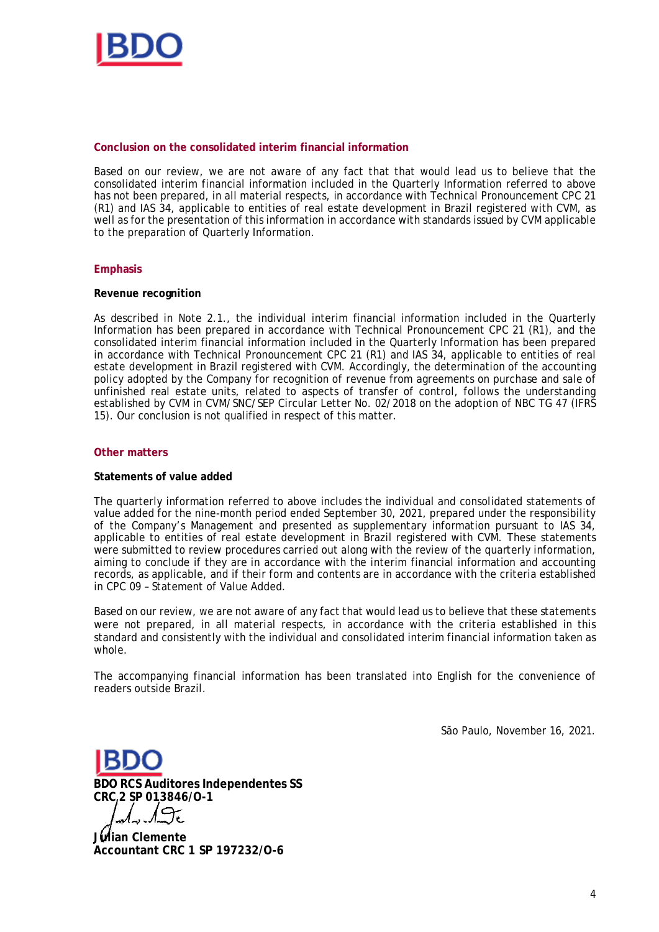

#### **Conclusion on the consolidated interim financial information**

Based on our review, we are not aware of any fact that that would lead us to believe that the consolidated interim financial information included in the Quarterly Information referred to above has not been prepared, in all material respects, in accordance with Technical Pronouncement CPC 21 (R1) and IAS 34, applicable to entities of real estate development in Brazil registered with CVM, as well as for the presentation of this information in accordance with standards issued by CVM applicable to the preparation of Quarterly Information.

#### **Emphasis**

#### **Revenue recognition**

As described in Note 2.1., the individual interim financial information included in the Quarterly Information has been prepared in accordance with Technical Pronouncement CPC 21 (R1), and the consolidated interim financial information included in the Quarterly Information has been prepared in accordance with Technical Pronouncement CPC 21 (R1) and IAS 34, applicable to entities of real estate development in Brazil registered with CVM. Accordingly, the determination of the accounting policy adopted by the Company for recognition of revenue from agreements on purchase and sale of unfinished real estate units, related to aspects of transfer of control, follows the understanding established by CVM in CVM/SNC/SEP Circular Letter No. 02/2018 on the adoption of NBC TG 47 (IFRS 15). Our conclusion is not qualified in respect of this matter.

#### **Other matters**

#### **Statements of value added**

The quarterly information referred to above includes the individual and consolidated statements of value added for the nine-month period ended September 30, 2021, prepared under the responsibility of the Company's Management and presented as supplementary information pursuant to IAS 34, applicable to entities of real estate development in Brazil registered with CVM. These statements were submitted to review procedures carried out along with the review of the quarterly information, aiming to conclude if they are in accordance with the interim financial information and accounting records, as applicable, and if their form and contents are in accordance with the criteria established in CPC 09 – Statement of Value Added.

Based on our review, we are not aware of any fact that would lead us to believe that these statements were not prepared, in all material respects, in accordance with the criteria established in this standard and consistently with the individual and consolidated interim financial information taken as whole.

The accompanying financial information has been translated into English for the convenience of readers outside Brazil.

São Paulo, November 16, 2021.

**BDO RCS Auditores Independentes SS CRC 2 SP 013846/O-1**

**Julian Clemente Accountant CRC 1 SP 197232/O-6**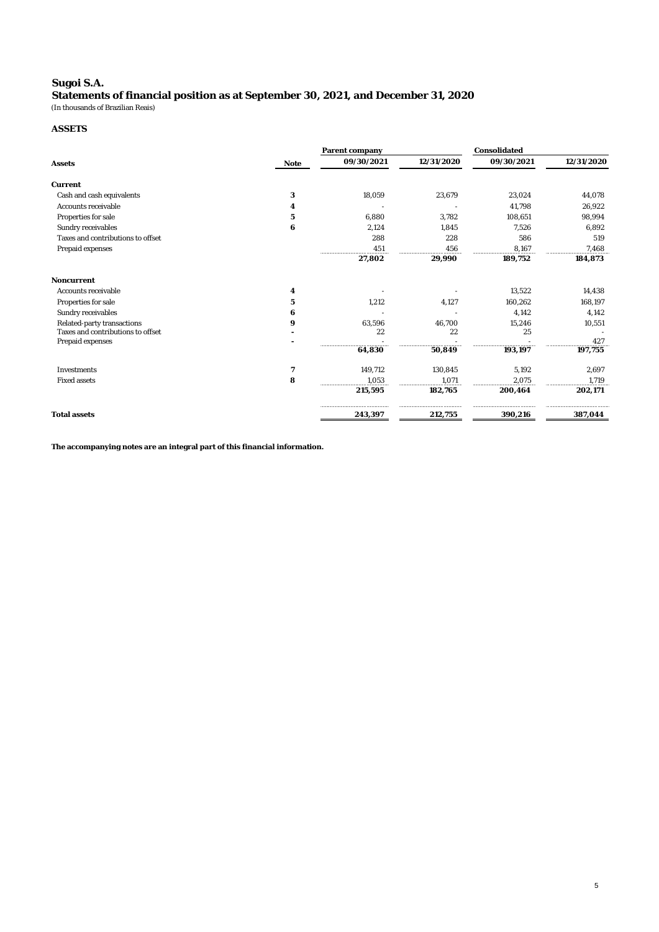# **Sugoi S.A.**

**Statements of financial position as at September 30, 2021, and December 31, 2020** (In thousands of Brazilian Reais)

#### **ASSETS**

|                                   |                | Parent company |            |            | Consolidated |  |  |
|-----------------------------------|----------------|----------------|------------|------------|--------------|--|--|
| Assets                            | Note           | 09/30/2021     | 12/31/2020 | 09/30/2021 | 12/31/2020   |  |  |
| Current                           |                |                |            |            |              |  |  |
| Cash and cash equivalents         | 3              | 18,059         | 23,679     | 23,024     | 44,078       |  |  |
| Accounts receivable               | 4              |                |            | 41,798     | 26,922       |  |  |
| Properties for sale               | 5              | 6,880          | 3,782      | 108,651    | 98,994       |  |  |
| Sundry receivables                | 6              | 2,124          | 1,845      | 7,526      | 6,892        |  |  |
| Taxes and contributions to offset |                | 288            | 228        | 586        | 519          |  |  |
| Prepaid expenses                  |                | 451            | 456        | 8,167      | 7.468        |  |  |
|                                   |                | 27,802         | 29,990     | 189,752    | 184,873      |  |  |
| Noncurrent                        |                |                |            |            |              |  |  |
| Accounts receivable               | $\overline{4}$ |                |            | 13,522     | 14,438       |  |  |
| Properties for sale               | 5              | 1,212          | 4,127      | 160,262    | 168,197      |  |  |
| Sundry receivables                | 6              |                |            | 4,142      | 4,142        |  |  |
| Related-party transactions        | 9              | 63,596         | 46,700     | 15,246     | 10,551       |  |  |
| Taxes and contributions to offset |                | 22             | 22         | 25         |              |  |  |
| Prepaid expenses                  |                |                |            |            | 427          |  |  |
|                                   |                | 64,830         | 50,849     | 193,197    | 197,755      |  |  |
| Investments                       | $\overline{7}$ | 149,712        | 130.845    | 5.192      | 2.697        |  |  |
| Fixed assets                      | 8              | 1,053          | 1,071      | 2,075      | 1,719        |  |  |
|                                   |                | 215,595        | 182,765    | 200,464    | 202,171      |  |  |
| <b>Total assets</b>               |                | 243,397        | 212,755    | 390,216    | 387,044      |  |  |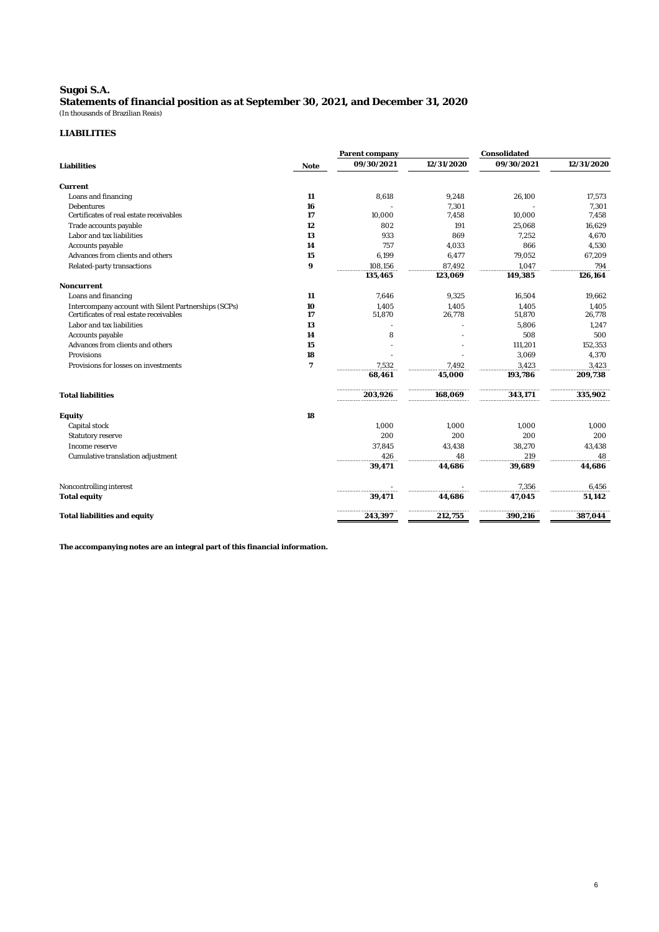#### **Sugoi S.A. Statements of financial position as at September 30, 2021, and December 31, 2020** (In thousands of Brazilian Reais)

#### **LIABILITIES**

|                                                      |                | Parent company |            | Consolidated |            |
|------------------------------------------------------|----------------|----------------|------------|--------------|------------|
| Liabilities                                          | <b>Note</b>    | 09/30/2021     | 12/31/2020 | 09/30/2021   | 12/31/2020 |
| Current                                              |                |                |            |              |            |
| Loans and financing                                  | 11             | 8,618          | 9,248      | 26,100       | 17,573     |
| <b>Debentures</b>                                    | 16             |                | 7,301      |              | 7,301      |
| Certificates of real estate receivables              | 17             | 10,000         | 7,458      | 10,000       | 7,458      |
| Trade accounts payable                               | 12             | 802            | 191        | 25,068       | 16,629     |
| Labor and tax liabilities                            | 13             | 933            | 869        | 7,252        | 4,670      |
| Accounts payable                                     | 14             | 757            | 4.033      | 866          | 4,530      |
| Advances from clients and others                     | 15             | 6,199          | 6,477      | 79,052       | 67,209     |
| Related-party transactions                           | 9              | 108,156        | 87,492     | 1,047        | 794        |
|                                                      |                | 135,465        | 123,069    | 149,385      | 126,164    |
| Noncurrent                                           |                |                |            |              |            |
| Loans and financing                                  | 11             | 7,646          | 9,325      | 16,504       | 19,662     |
| Intercompany account with Silent Partnerships (SCPs) | 10             | 1,405          | 1,405      | 1,405        | 1,405      |
| Certificates of real estate receivables              | 17             | 51,870         | 26,778     | 51,870       | 26,778     |
| Labor and tax liabilities                            | 13             |                |            | 5,806        | 1,247      |
| Accounts payable                                     | 14             | 8              |            | 508          | 500        |
| Advances from clients and others                     | 15             |                |            | 111,201      | 152,353    |
| Provisions                                           | 18             |                |            | 3,069        | 4,370      |
| Provisions for losses on investments                 | $\overline{7}$ | 7.532          | 7.492      | 3.423        | 3,423      |
|                                                      |                | 68.461         | 45.000     | 193,786      | 209,738    |
| <b>Total liabilities</b>                             |                | 203,926        | 168.069    | 343.171      | 335,902    |
| Equity                                               | 18             |                |            |              |            |
| Capital stock                                        |                | 1.000          | 1.000      | 1.000        | 1,000      |
| Statutory reserve                                    |                | 200            | 200        | 200          | 200        |
| Income reserve                                       |                | 37,845         | 43,438     | 38,270       | 43,438     |
| Cumulative translation adjustment                    |                | 426            | 48         | 219          | 48         |
|                                                      |                | 39.471         | 44,686     | 39,689       | 44,686     |
| Noncontrolling interest                              |                |                |            | 7,356        | 6,456      |
| Total equity                                         |                | 39,471         | 44,686     | 47,045       | 51,142     |
| Total liabilities and equity                         |                | 243,397        | 212,755    | 390,216      | 387,044    |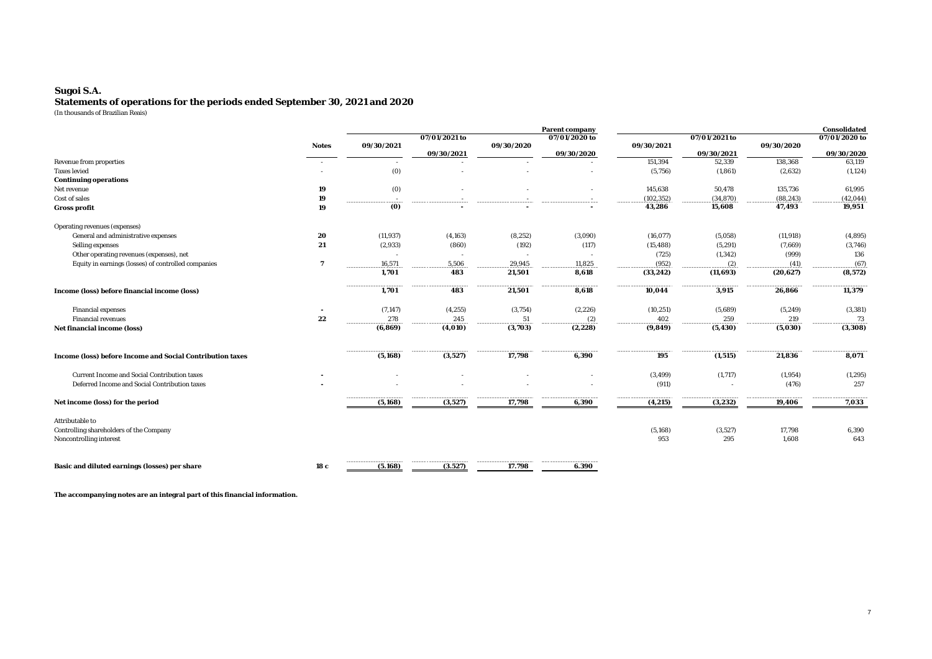#### **Sugoi S.A. Statements of operations for the periods ended September 30, 2021 and 2020** (In thousands of Brazilian Reais)

|                                                           |       | Parent company          |                                      |                         |                         |            | Consolidated  |            |                    |
|-----------------------------------------------------------|-------|-------------------------|--------------------------------------|-------------------------|-------------------------|------------|---------------|------------|--------------------|
|                                                           |       |                         | 07/01/2021 to                        |                         | 07/01/2020 to           |            | 07/01/2021 to |            | 07/01/2020 to      |
|                                                           | Notes | 09/30/2021              |                                      | 09/30/2020              |                         | 09/30/2021 |               | 09/30/2020 |                    |
|                                                           |       |                         | 09/30/2021                           |                         | 09/30/2020              |            | 09/30/2021    |            | 09/30/2020         |
| Revenue from properties                                   |       |                         |                                      |                         |                         | 151,394    | 52,339        | 138,368    | 63.119             |
| <b>Taxes levied</b>                                       |       | (0)                     |                                      |                         |                         | (5,756)    | (1, 861)      | (2,632)    | (1, 124)           |
| Continuing operations                                     |       |                         |                                      |                         |                         |            |               |            |                    |
| Net revenue                                               | 19    | (0)                     |                                      |                         |                         | 145,638    | 50,478        | 135,736    | 61,995             |
| Cost of sales                                             | 19    | $\sim$<br>------        | -------------------------            |                         |                         | (102, 352) | (34, 870)     | (88, 243)  | (42, 044)          |
| Gross profit                                              | 19    | (0)                     |                                      |                         |                         | 43,286     | 15,608        | 47,493     | 19,951             |
| Operating revenues (expenses)                             |       |                         |                                      |                         |                         |            |               |            |                    |
| General and administrative expenses                       | 20    | (11, 937)               | (4, 163)                             | (8, 252)                | (3,090)                 | (16, 077)  | (5,058)       | (11, 918)  | (4,895)            |
| Selling expenses                                          | 21    | (2,933)                 | (860)                                | (192)                   | (117)                   | (15, 488)  | (5, 291)      | (7,669)    | (3,746)            |
| Other operating revenues (expenses), net                  |       |                         |                                      |                         |                         | (725)      | (1, 342)      | (999)      | 136                |
| Equity in earnings (losses) of controlled companies       |       | 16,571                  | 5,506                                | 29,945                  | 11,825                  | (952)      | (2)           | (41)       | (67)               |
|                                                           |       | 1.701                   | 483                                  | 21,501                  | 8,618                   | (33, 242)  | (11,693)      | (20, 627)  | (8, 572)           |
|                                                           |       |                         |                                      |                         |                         |            |               |            |                    |
| Income (loss) before financial income (loss)              |       | 1,701                   | 483                                  | 21,501                  | 8,618                   | 10,044     | 3,915         | 26,866     | 11,379             |
| Financial expenses                                        |       | (7, 147)                | (4, 255)                             | (3, 754)                | (2, 226)                | (10, 251)  | (5,689)       | (5, 249)   | (3, 381)           |
| Financial revenues                                        | 22    | 278                     | 245                                  | 51                      | (2)                     | 402        | 259           | 219        | 73                 |
| Net financial income (loss)                               |       | (6,869)                 | (4,010)                              | (3,703)                 | (2, 228)                | (9,849)    | (5, 430)      | (5,030)    | (3,308)            |
|                                                           |       |                         |                                      |                         |                         |            |               |            |                    |
| Income (loss) before Income and Social Contribution taxes |       | (5, 168)                | (3,527)                              | 17,798                  | 6,390                   | 195        | (1, 515)      | 21,836     | 8,071              |
| Current Income and Social Contribution taxes              |       |                         |                                      |                         |                         | (3, 499)   | (1, 717)      | (1,954)    | (1, 295)           |
| Deferred Income and Social Contribution taxes             |       |                         |                                      |                         |                         | (911)      | $\sim$        | (476)      | 257                |
|                                                           |       |                         |                                      |                         |                         |            |               |            |                    |
| Net income (loss) for the period                          |       | -----------<br>(5, 168) | ------------------------<br>(3, 527) | -------------<br>17,798 | -------------<br>6,390  | (4, 215)   | (3, 232)      | 19,406     | ---------<br>7,033 |
| Attributable to                                           |       |                         |                                      |                         |                         |            |               |            |                    |
| Controlling shareholders of the Company                   |       |                         |                                      |                         |                         | (5, 168)   | (3,527)       | 17,798     | 6,390              |
| Noncontrolling interest                                   |       |                         |                                      |                         |                         | 953        | 295           | 1,608      | 643                |
|                                                           |       |                         |                                      |                         |                         |            |               |            |                    |
| Basic and diluted earnings (losses) per share             | 18 c  | (5.168)                 | ----------<br>(3.527)                | -----------<br>17.798   | --------------<br>6.390 |            |               |            |                    |
|                                                           |       |                         |                                      |                         |                         |            |               |            |                    |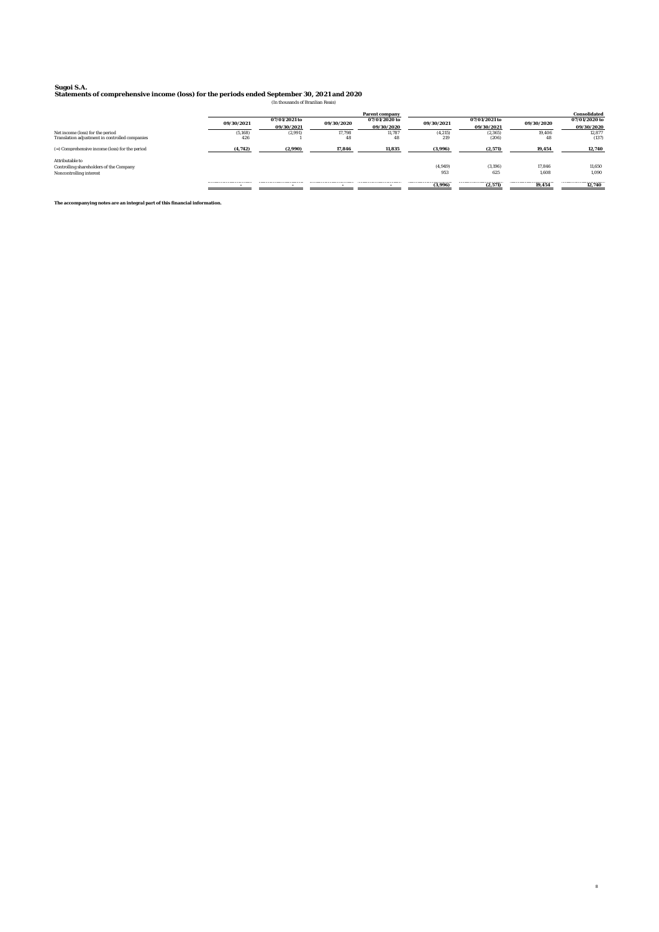**Sugoi S.A. Statements of comprehensive income (loss) for the periods ended September 30, 2021 and 2020** (In thousands of Brazilian Reais)

|                                                            | Parent company |               |            |               |            | Consolidated  |            |               |
|------------------------------------------------------------|----------------|---------------|------------|---------------|------------|---------------|------------|---------------|
|                                                            | 09/30/2021     | 07/01/2021 to | 09/30/2020 | 07/01/2020 to | 09/30/2021 | 07/01/2021 to | 09/30/2020 | 07/01/2020 to |
|                                                            |                | 09/30/2021    |            | 09/30/2020    |            | 09/30/2021    |            | 09/30/2020    |
| Net income (loss) for the period                           | (5.168)        | (2.991)       | 17.798     | 11.787        | (4, 215)   | (2,365)       | 19.406     | 12,877        |
| Translation adjustment in controlled companies             | 426            |               | 48         | 48            | 219        | (206)         | 48         | (137)         |
| (=) Comprehensive income (loss) for the period             | (4.742)        | (2.990)       | 17.846     | 11.835        | (3.996)    | (2.571)       | 19.454     | 12.740        |
| Attributable to<br>Controlling shareholders of the Company |                |               |            |               | (4,949)    | (3.196)       | 17.846     | 11.650        |
| Noncontrolling interest                                    |                |               |            |               | 953        | 625           | 1.608      | 1.090         |
|                                                            |                |               |            |               | (3.996)    | (2.571)       | 19.454     | 12.740        |

8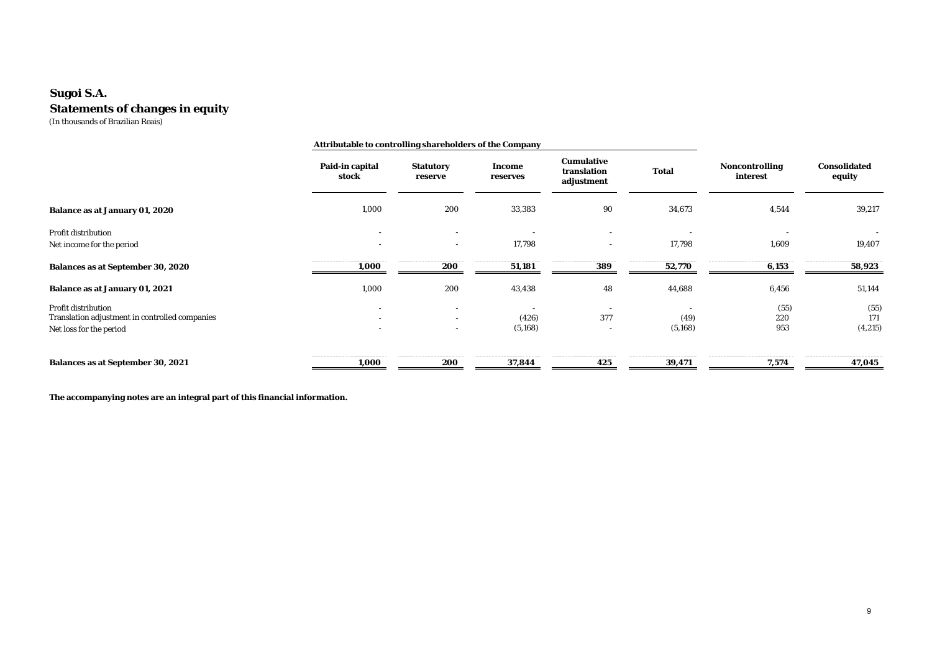### **Statements of changes in equity** (In thousands of Brazilian Reais) **Sugoi S.A.**

|                                                                                                  |                                    | Attributable to controlling shareholders of the Company |                    |                                         |                  |                            |                        |
|--------------------------------------------------------------------------------------------------|------------------------------------|---------------------------------------------------------|--------------------|-----------------------------------------|------------------|----------------------------|------------------------|
|                                                                                                  | Paid-in capital<br>stock           | Statutory<br>reserve                                    | Income<br>reserves | Cumulative<br>translation<br>adjustment | Total            | Noncontrolling<br>interest | Consolidated<br>equity |
| Balance as at January 01, 2020                                                                   | 1,000                              | 200                                                     | 33,383             | 90                                      | 34,673           | 4,544                      | 39,217                 |
| Profit distribution<br>Net income for the period                                                 |                                    | $\overline{\phantom{a}}$                                | 17,798             | $\overline{\phantom{a}}$                | 17.798           | 1,609                      | 19,407                 |
| Balances as at September 30, 2020                                                                | 1,000                              | 200                                                     | 51,181             | 389                                     | 52,770           | 6,153                      | 58,923                 |
| Balance as at January 01, 2021                                                                   | 1,000                              | 200                                                     | 43,438             | 48                                      | 44,688           | 6,456                      | 51,144                 |
| Profit distribution<br>Translation adjustment in controlled companies<br>Net loss for the period | $\sim$<br>$\overline{\phantom{a}}$ | $\sim$<br>$\overline{\phantom{0}}$                      | (426)<br>(5, 168)  | 377<br>$\overline{\phantom{a}}$         | (49)<br>(5, 168) | (55)<br>220<br>953         | (55)<br>171<br>(4,215) |
| Balances as at September 30, 2021                                                                | 1,000                              | 200                                                     | 37,844             | 425                                     | 39,471           | 7,574                      | 47,045                 |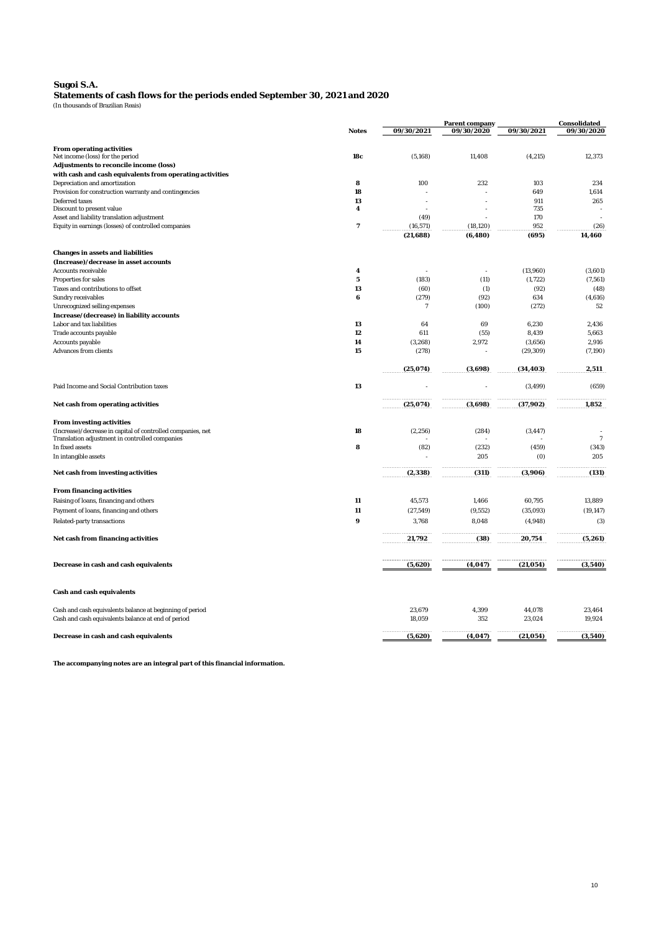#### **Sugoi S.A.**

(In thousands of Brazilian Reais) **Statements of cash flows for the periods ended September 30, 2021 and 2020**

|                                                             |                 |                |            |            | Parent company |  | Consolidated |  |
|-------------------------------------------------------------|-----------------|----------------|------------|------------|----------------|--|--------------|--|
|                                                             | Notes           | 09/30/2021     | 09/30/2020 | 09/30/2021 | 09/30/2020     |  |              |  |
|                                                             |                 |                |            |            |                |  |              |  |
| From operating activities                                   |                 |                |            |            |                |  |              |  |
| Net income (loss) for the period                            | 18 <sub>c</sub> | (5, 168)       | 11,408     | (4,215)    | 12,373         |  |              |  |
| Adjustments to reconcile income (loss)                      |                 |                |            |            |                |  |              |  |
| with cash and cash equivalents from operating activities    |                 |                |            |            |                |  |              |  |
| Depreciation and amortization                               | 8               | 100            | 232        | 103        | 234            |  |              |  |
| Provision for construction warranty and contingencies       | 18              |                |            | 649        | 1,614          |  |              |  |
| Deferred taxes                                              | 13              |                |            | 911        | 265            |  |              |  |
| Discount to present value                                   | $\overline{4}$  |                |            | 735        |                |  |              |  |
| Asset and liability translation adjustment                  |                 | (49)           |            | 170        |                |  |              |  |
| Equity in earnings (losses) of controlled companies         | $\overline{7}$  | (16, 571)      | (18, 120)  | 952        | (26)           |  |              |  |
|                                                             |                 | (21,688)       | (6, 480)   | (695)      | 14,460         |  |              |  |
|                                                             |                 |                |            |            |                |  |              |  |
| Changes in assets and liabilities                           |                 |                |            |            |                |  |              |  |
| (Increase)/decrease in asset accounts                       |                 |                |            |            |                |  |              |  |
| Accounts receivable                                         | $\overline{4}$  |                |            | (13,960)   | (3,601)        |  |              |  |
| Properties for sales                                        | 5               | (183)          | (11)       | (1, 722)   | (7, 561)       |  |              |  |
| Taxes and contributions to offset                           | 13              | (60)           | (1)        | (92)       | (48)           |  |              |  |
| Sundry receivables                                          | 6               | (279)          | (92)       | 634        | (4,616)        |  |              |  |
| Unrecognized selling expenses                               |                 | $\overline{7}$ | (100)      | (272)      | 52             |  |              |  |
| Increase/(decrease) in liability accounts                   |                 |                |            |            |                |  |              |  |
|                                                             |                 |                | 69         | 6,230      | 2,436          |  |              |  |
| Labor and tax liabilities                                   | 13              | 64             |            |            |                |  |              |  |
| Trade accounts payable                                      | 12              | 611            | (55)       | 8,439      | 5,663          |  |              |  |
| Accounts payable                                            | 14              | (3, 268)       | 2,972      | (3,656)    | 2,916          |  |              |  |
| Advances from clients                                       | 15              | (278)          |            | (29, 309)  | (7, 190)       |  |              |  |
|                                                             |                 | (25, 074)      | (3,698)    | (34, 403)  | 2,511          |  |              |  |
|                                                             |                 |                |            |            |                |  |              |  |
| Paid Income and Social Contribution taxes                   | 13              |                |            | (3, 499)   | (659)          |  |              |  |
| Net cash from operating activities                          |                 | (25, 074)      | (3,698)    | (37,902)   | 1,852          |  |              |  |
| From investing activities                                   |                 |                |            |            |                |  |              |  |
| (Increase)/decrease in capital of controlled companies, net | 18              | (2, 256)       | (284)      | (3, 447)   |                |  |              |  |
| Translation adjustment in controlled companies              |                 |                |            |            | $\overline{7}$ |  |              |  |
| In fixed assets                                             | 8               | (82)           | (232)      | (459)      | (343)          |  |              |  |
| In intangible assets                                        |                 |                | 205        | (0)        | 205            |  |              |  |
|                                                             |                 |                |            |            |                |  |              |  |
| Net cash from investing activities                          |                 | (2, 338)       | (311)      | (3,906)    | (131)          |  |              |  |
| From financing activities                                   |                 |                |            |            |                |  |              |  |
| Raising of Ioans, financing and others                      | 11              | 45,573         | 1,466      | 60,795     | 13,889         |  |              |  |
|                                                             |                 |                |            |            |                |  |              |  |
| Payment of loans, financing and others                      | 11              | (27, 549)      | (9, 552)   | (35,093)   | (19, 147)      |  |              |  |
| Related-party transactions                                  | 9               | 3,768          | 8,048      | (4,948)    | (3)            |  |              |  |
| Net cash from financing activities                          |                 | 21,792         | (38)       | 20,754     | (5, 261)       |  |              |  |
|                                                             |                 |                |            |            |                |  |              |  |
| Decrease in cash and cash equivalents                       |                 | (5,620)        | (4, 047)   | (21, 054)  | (3,540)        |  |              |  |
| Cash and cash equivalents                                   |                 |                |            |            |                |  |              |  |
|                                                             |                 |                |            |            |                |  |              |  |
| Cash and cash equivalents balance at beginning of period    |                 | 23,679         | 4,399      | 44,078     | 23,464         |  |              |  |
| Cash and cash equivalents balance at end of period          |                 | 18,059         | 352        | 23,024     | 19,924         |  |              |  |
| Decrease in cash and cash equivalents                       |                 | (5,620)        | (4, 047)   | (21, 054)  | (3,540)        |  |              |  |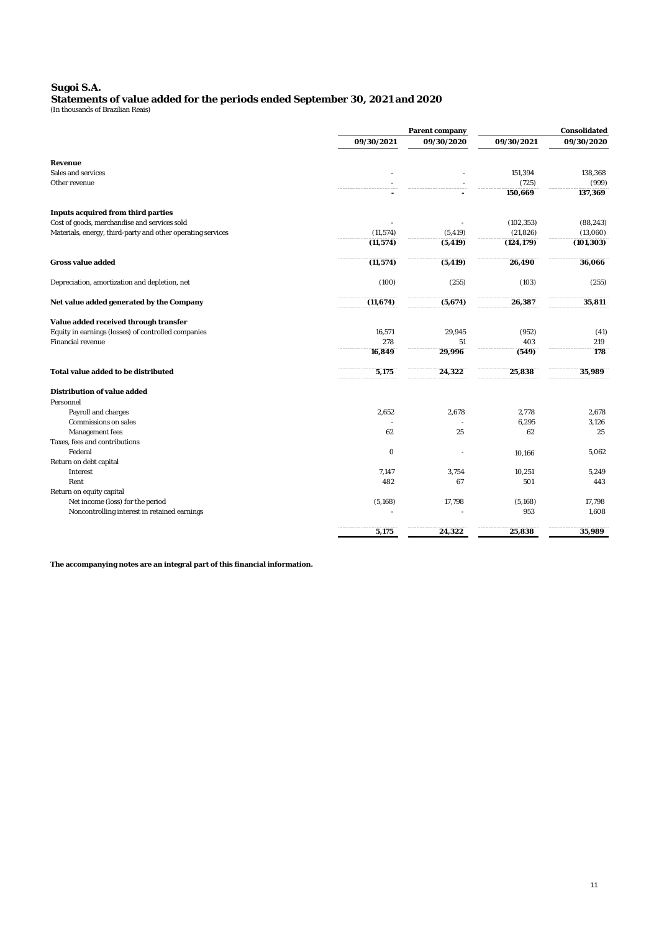# **Statements of value added for the periods ended September 30, 2021 and 2020** (In thousands of Brazilian Reais) **Sugoi S.A.**

|                                                             | Parent company | Consolidated |            |            |
|-------------------------------------------------------------|----------------|--------------|------------|------------|
|                                                             | 09/30/2021     | 09/30/2020   | 09/30/2021 | 09/30/2020 |
| Revenue                                                     |                |              |            |            |
| Sales and services                                          |                |              | 151,394    | 138,368    |
| Other revenue                                               |                |              | (725)      | (999)      |
|                                                             |                |              | 150,669    | 137,369    |
| Inputs acquired from third parties                          |                |              |            |            |
| Cost of goods, merchandise and services sold                |                |              | (102, 353) | (88, 243)  |
| Materials, energy, third-party and other operating services | (11, 574)      | (5, 419)     | (21, 826)  | (13,060)   |
|                                                             | (11, 574)      | (5, 419)     | (124, 179) | (101, 303) |
| Gross value added                                           | (11, 574)      | (5, 419)     | 26,490     | 36,066     |
| Depreciation, amortization and depletion, net               | (100)          | (255)        | (103)      | (255)      |
| Net value added generated by the Company                    | (11, 674)      | (5,674)      | 26,387     | 35,811     |
| Value added received through transfer                       |                |              |            |            |
| Equity in earnings (losses) of controlled companies         | 16,571         | 29,945       | (952)      | (41)       |
| Financial revenue                                           | 278            | 51           | 403        | 219        |
|                                                             | 16,849         | 29,996       | (549)      | 178        |
| Total value added to be distributed                         | 5,175          | 24,322       | 25,838     | 35,989     |
| Distribution of value added                                 |                |              |            |            |
| Personnel                                                   |                |              |            |            |
| Payroll and charges                                         | 2,652          | 2,678        | 2,778      | 2,678      |
| Commissions on sales                                        |                |              | 6,295      | 3,126      |
| Management fees                                             | 62             | 25           | 62         | 25         |
| Taxes, fees and contributions                               |                |              |            |            |
| Federal                                                     | 0              |              | 10,166     | 5,062      |
| Return on debt capital                                      |                |              |            |            |
| Interest                                                    | 7,147          | 3,754        | 10,251     | 5,249      |
| Rent                                                        | 482            | 67           | 501        | 443        |
| Return on equity capital                                    |                |              |            |            |
| Net income (loss) for the period                            | (5, 168)       | 17,798       | (5, 168)   | 17,798     |
| Noncontrolling interest in retained earnings                |                |              | 953        | 1,608      |
|                                                             | 5,175          | 24,322       | 25,838     | 35,989     |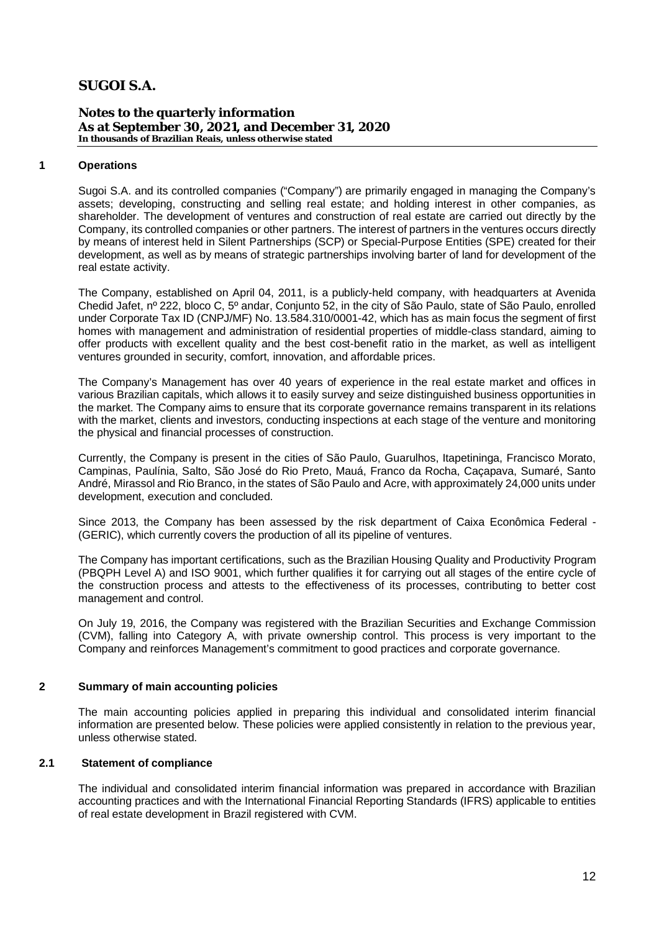**Notes to the quarterly information As at September 30, 2021, and December 31, 2020 In thousands of Brazilian Reais, unless otherwise stated**

### **1 Operations**

Sugoi S.A. and its controlled companies ("Company") are primarily engaged in managing the Company's assets; developing, constructing and selling real estate; and holding interest in other companies, as shareholder. The development of ventures and construction of real estate are carried out directly by the Company, its controlled companies or other partners. The interest of partners in the ventures occurs directly by means of interest held in Silent Partnerships (SCP) or Special-Purpose Entities (SPE) created for their development, as well as by means of strategic partnerships involving barter of land for development of the real estate activity.

The Company, established on April 04, 2011, is a publicly-held company, with headquarters at Avenida Chedid Jafet, nº 222, bloco C, 5º andar, Conjunto 52, in the city of São Paulo, state of São Paulo, enrolled under Corporate Tax ID (CNPJ/MF) No. 13.584.310/0001-42, which has as main focus the segment of first homes with management and administration of residential properties of middle-class standard, aiming to offer products with excellent quality and the best cost-benefit ratio in the market, as well as intelligent ventures grounded in security, comfort, innovation, and affordable prices.

The Company's Management has over 40 years of experience in the real estate market and offices in various Brazilian capitals, which allows it to easily survey and seize distinguished business opportunities in the market. The Company aims to ensure that its corporate governance remains transparent in its relations with the market, clients and investors, conducting inspections at each stage of the venture and monitoring the physical and financial processes of construction.

Currently, the Company is present in the cities of São Paulo, Guarulhos, Itapetininga, Francisco Morato, Campinas, Paulínia, Salto, São José do Rio Preto, Mauá, Franco da Rocha, Caçapava, Sumaré, Santo André, Mirassol and Rio Branco, in the states of São Paulo and Acre, with approximately 24,000 units under development, execution and concluded.

Since 2013, the Company has been assessed by the risk department of Caixa Econômica Federal - (GERIC), which currently covers the production of all its pipeline of ventures.

The Company has important certifications, such as the Brazilian Housing Quality and Productivity Program (PBQPH Level A) and ISO 9001, which further qualifies it for carrying out all stages of the entire cycle of the construction process and attests to the effectiveness of its processes, contributing to better cost management and control.

On July 19, 2016, the Company was registered with the Brazilian Securities and Exchange Commission (CVM), falling into Category A, with private ownership control. This process is very important to the Company and reinforces Management's commitment to good practices and corporate governance.

### **2 Summary of main accounting policies**

The main accounting policies applied in preparing this individual and consolidated interim financial information are presented below. These policies were applied consistently in relation to the previous year, unless otherwise stated.

### **2.1 Statement of compliance**

The individual and consolidated interim financial information was prepared in accordance with Brazilian accounting practices and with the International Financial Reporting Standards (IFRS) applicable to entities of real estate development in Brazil registered with CVM.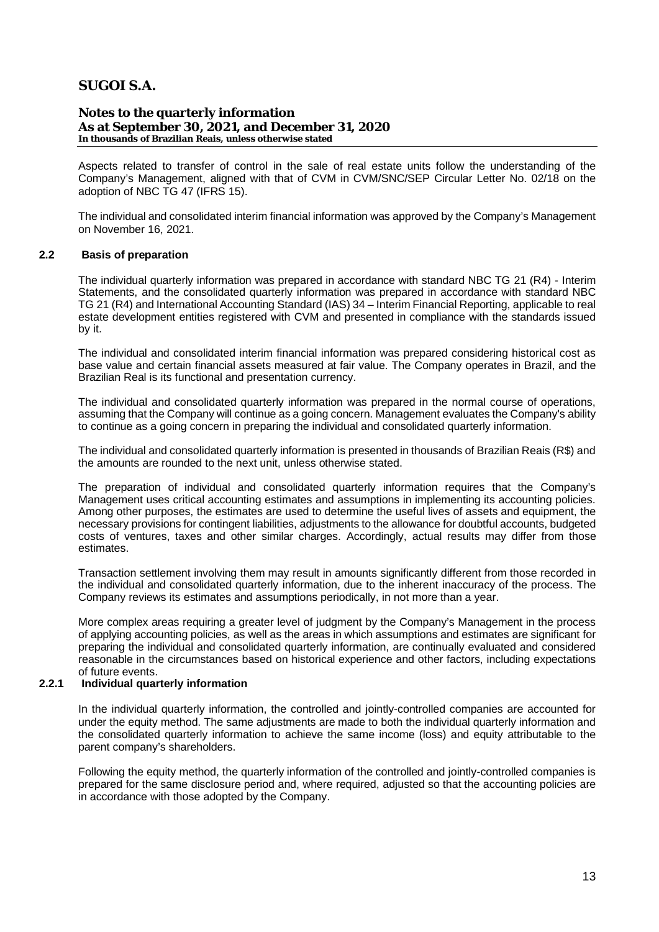**Notes to the quarterly information As at September 30, 2021, and December 31, 2020 In thousands of Brazilian Reais, unless otherwise stated**

Aspects related to transfer of control in the sale of real estate units follow the understanding of the Company's Management, aligned with that of CVM in CVM/SNC/SEP Circular Letter No. 02/18 on the adoption of NBC TG 47 (IFRS 15).

The individual and consolidated interim financial information was approved by the Company's Management on November 16, 2021.

#### **2.2 Basis of preparation**

The individual quarterly information was prepared in accordance with standard NBC TG 21 (R4) - Interim Statements, and the consolidated quarterly information was prepared in accordance with standard NBC TG 21 (R4) and International Accounting Standard (IAS) 34 – Interim Financial Reporting, applicable to real estate development entities registered with CVM and presented in compliance with the standards issued by it.

The individual and consolidated interim financial information was prepared considering historical cost as base value and certain financial assets measured at fair value. The Company operates in Brazil, and the Brazilian Real is its functional and presentation currency.

The individual and consolidated quarterly information was prepared in the normal course of operations, assuming that the Company will continue as a going concern. Management evaluates the Company's ability to continue as a going concern in preparing the individual and consolidated quarterly information.

The individual and consolidated quarterly information is presented in thousands of Brazilian Reais (R\$) and the amounts are rounded to the next unit, unless otherwise stated.

The preparation of individual and consolidated quarterly information requires that the Company's Management uses critical accounting estimates and assumptions in implementing its accounting policies. Among other purposes, the estimates are used to determine the useful lives of assets and equipment, the necessary provisions for contingent liabilities, adjustments to the allowance for doubtful accounts, budgeted costs of ventures, taxes and other similar charges. Accordingly, actual results may differ from those estimates.

Transaction settlement involving them may result in amounts significantly different from those recorded in the individual and consolidated quarterly information, due to the inherent inaccuracy of the process. The Company reviews its estimates and assumptions periodically, in not more than a year.

More complex areas requiring a greater level of judgment by the Company's Management in the process of applying accounting policies, as well as the areas in which assumptions and estimates are significant for preparing the individual and consolidated quarterly information, are continually evaluated and considered reasonable in the circumstances based on historical experience and other factors, including expectations of future events.

### **2.2.1 Individual quarterly information**

In the individual quarterly information, the controlled and jointly-controlled companies are accounted for under the equity method. The same adjustments are made to both the individual quarterly information and the consolidated quarterly information to achieve the same income (loss) and equity attributable to the parent company's shareholders.

Following the equity method, the quarterly information of the controlled and jointly-controlled companies is prepared for the same disclosure period and, where required, adjusted so that the accounting policies are in accordance with those adopted by the Company.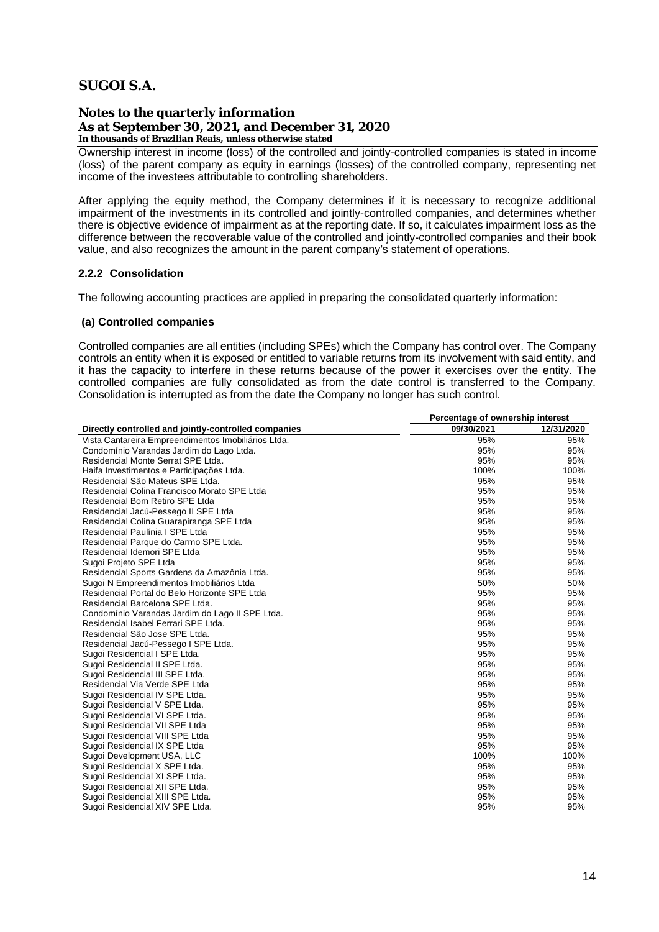**Notes to the quarterly information As at September 30, 2021, and December 31, 2020 In thousands of Brazilian Reais, unless otherwise stated**

Ownership interest in income (loss) of the controlled and jointly-controlled companies is stated in income (loss) of the parent company as equity in earnings (losses) of the controlled company, representing net income of the investees attributable to controlling shareholders.

After applying the equity method, the Company determines if it is necessary to recognize additional impairment of the investments in its controlled and jointly-controlled companies, and determines whether there is objective evidence of impairment as at the reporting date. If so, it calculates impairment loss as the difference between the recoverable value of the controlled and jointly-controlled companies and their book value, and also recognizes the amount in the parent company's statement of operations.

### **2.2.2 Consolidation**

The following accounting practices are applied in preparing the consolidated quarterly information:

#### **(a) Controlled companies**

Controlled companies are all entities (including SPEs) which the Company has control over. The Company controls an entity when it is exposed or entitled to variable returns from its involvement with said entity, and it has the capacity to interfere in these returns because of the power it exercises over the entity. The controlled companies are fully consolidated as from the date control is transferred to the Company. Consolidation is interrupted as from the date the Company no longer has such control.

|                                                      | Percentage of ownership interest |            |  |  |
|------------------------------------------------------|----------------------------------|------------|--|--|
| Directly controlled and jointly-controlled companies | 09/30/2021                       | 12/31/2020 |  |  |
| Vista Cantareira Empreendimentos Imobiliários Ltda.  | 95%                              | 95%        |  |  |
| Condomínio Varandas Jardim do Lago Ltda.             | 95%                              | 95%        |  |  |
| Residencial Monte Serrat SPE Ltda.                   | 95%                              | 95%        |  |  |
| Haifa Investimentos e Participações Ltda.            | 100%                             | 100%       |  |  |
| Residencial São Mateus SPE Ltda.                     | 95%                              | 95%        |  |  |
| Residencial Colina Francisco Morato SPE Ltda         | 95%                              | 95%        |  |  |
| Residencial Bom Retiro SPE Ltda                      | 95%                              | 95%        |  |  |
| Residencial Jacú-Pessego II SPE Ltda                 | 95%                              | 95%        |  |  |
| Residencial Colina Guarapiranga SPE Ltda             | 95%                              | 95%        |  |  |
| Residencial Paulínia I SPE Ltda                      | 95%                              | 95%        |  |  |
| Residencial Parque do Carmo SPE Ltda.                | 95%                              | 95%        |  |  |
| Residencial Idemori SPE Ltda                         | 95%                              | 95%        |  |  |
| Sugoi Projeto SPE Ltda                               | 95%                              | 95%        |  |  |
| Residencial Sports Gardens da Amazônia Ltda.         | 95%                              | 95%        |  |  |
| Sugoi N Empreendimentos Imobiliários Ltda            | 50%                              | 50%        |  |  |
| Residencial Portal do Belo Horizonte SPE Ltda        | 95%                              | 95%        |  |  |
| Residencial Barcelona SPE Ltda.                      | 95%                              | 95%        |  |  |
| Condomínio Varandas Jardim do Lago II SPE Ltda.      | 95%                              | 95%        |  |  |
| Residencial Isabel Ferrari SPE Ltda.                 | 95%                              | 95%        |  |  |
| Residencial São Jose SPE Ltda.                       | 95%                              | 95%        |  |  |
| Residencial Jacú-Pessego I SPE Ltda.                 | 95%                              | 95%        |  |  |
| Sugoi Residencial I SPE Ltda.                        | 95%                              | 95%        |  |  |
| Sugoi Residencial II SPE Ltda.                       | 95%                              | 95%        |  |  |
| Sugoi Residencial III SPE Ltda.                      | 95%                              | 95%        |  |  |
| Residencial Via Verde SPE Ltda                       | 95%                              | 95%        |  |  |
| Sugoi Residencial IV SPE Ltda.                       | 95%                              | 95%        |  |  |
| Sugoi Residencial V SPE Ltda.                        | 95%                              | 95%        |  |  |
| Sugoi Residencial VI SPE Ltda.                       | 95%                              | 95%        |  |  |
| Sugoi Residencial VII SPE Ltda                       | 95%                              | 95%        |  |  |
| Sugoi Residencial VIII SPE Ltda                      | 95%                              | 95%        |  |  |
| Sugoi Residencial IX SPE Ltda                        | 95%                              | 95%        |  |  |
| Sugoi Development USA, LLC                           | 100%                             | 100%       |  |  |
| Sugoi Residencial X SPE Ltda.                        | 95%                              | 95%        |  |  |
| Sugoi Residencial XI SPE Ltda.                       | 95%                              | 95%        |  |  |
| Sugoi Residencial XII SPE Ltda.                      | 95%                              | 95%        |  |  |
| Sugoi Residencial XIII SPE Ltda.                     | 95%                              | 95%        |  |  |
| Sugoi Residencial XIV SPE Ltda.                      | 95%                              | 95%        |  |  |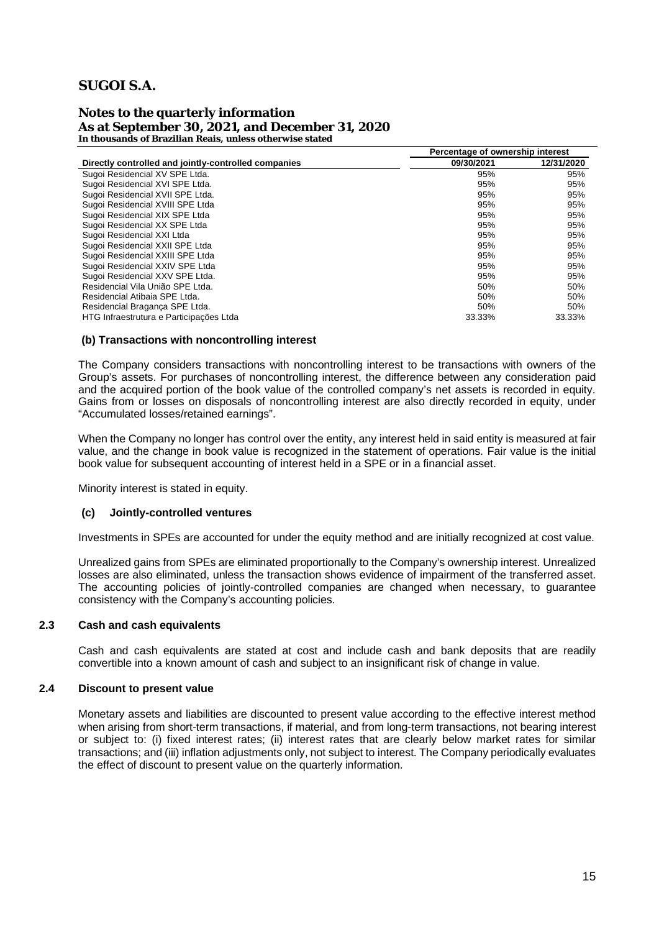**Notes to the quarterly information As at September 30, 2021, and December 31, 2020 In thousands of Brazilian Reais, unless otherwise stated**

|                                                      | Percentage of ownership interest |            |
|------------------------------------------------------|----------------------------------|------------|
| Directly controlled and jointly-controlled companies | 09/30/2021                       | 12/31/2020 |
| Sugoi Residencial XV SPE Ltda.                       | 95%                              | 95%        |
| Sugoi Residencial XVI SPE Ltda.                      | 95%                              | 95%        |
| Sugoi Residencial XVII SPE Ltda.                     | 95%                              | 95%        |
| Sugoi Residencial XVIII SPE Ltda                     | 95%                              | 95%        |
| Sugoi Residencial XIX SPE Ltda                       | 95%                              | 95%        |
| Sugoi Residencial XX SPE Ltda                        | 95%                              | 95%        |
| Sugoi Residencial XXI Ltda                           | 95%                              | 95%        |
| Sugoi Residencial XXII SPE Ltda                      | 95%                              | 95%        |
| Sugoi Residencial XXIII SPE Ltda                     | 95%                              | 95%        |
| Sugoi Residencial XXIV SPE Ltda                      | 95%                              | 95%        |
| Sugoi Residencial XXV SPE Ltda.                      | 95%                              | 95%        |
| Residencial Vila União SPE Ltda.                     | 50%                              | 50%        |
| Residencial Atibaia SPE Ltda.                        | 50%                              | 50%        |
| Residencial Bragança SPE Ltda.                       | 50%                              | 50%        |
| HTG Infraestrutura e Participações Ltda              | 33.33%                           | 33.33%     |

#### **(b) Transactions with noncontrolling interest**

The Company considers transactions with noncontrolling interest to be transactions with owners of the Group's assets. For purchases of noncontrolling interest, the difference between any consideration paid and the acquired portion of the book value of the controlled company's net assets is recorded in equity. Gains from or losses on disposals of noncontrolling interest are also directly recorded in equity, under "Accumulated losses/retained earnings".

When the Company no longer has control over the entity, any interest held in said entity is measured at fair value, and the change in book value is recognized in the statement of operations. Fair value is the initial book value for subsequent accounting of interest held in a SPE or in a financial asset.

Minority interest is stated in equity.

#### **(c) Jointly-controlled ventures**

Investments in SPEs are accounted for under the equity method and are initially recognized at cost value.

Unrealized gains from SPEs are eliminated proportionally to the Company's ownership interest. Unrealized losses are also eliminated, unless the transaction shows evidence of impairment of the transferred asset. The accounting policies of jointly-controlled companies are changed when necessary, to guarantee consistency with the Company's accounting policies.

#### **2.3 Cash and cash equivalents**

Cash and cash equivalents are stated at cost and include cash and bank deposits that are readily convertible into a known amount of cash and subject to an insignificant risk of change in value.

### **2.4 Discount to present value**

Monetary assets and liabilities are discounted to present value according to the effective interest method when arising from short-term transactions, if material, and from long-term transactions, not bearing interest or subject to: (i) fixed interest rates; (ii) interest rates that are clearly below market rates for similar transactions; and (iii) inflation adjustments only, not subject to interest. The Company periodically evaluates the effect of discount to present value on the quarterly information.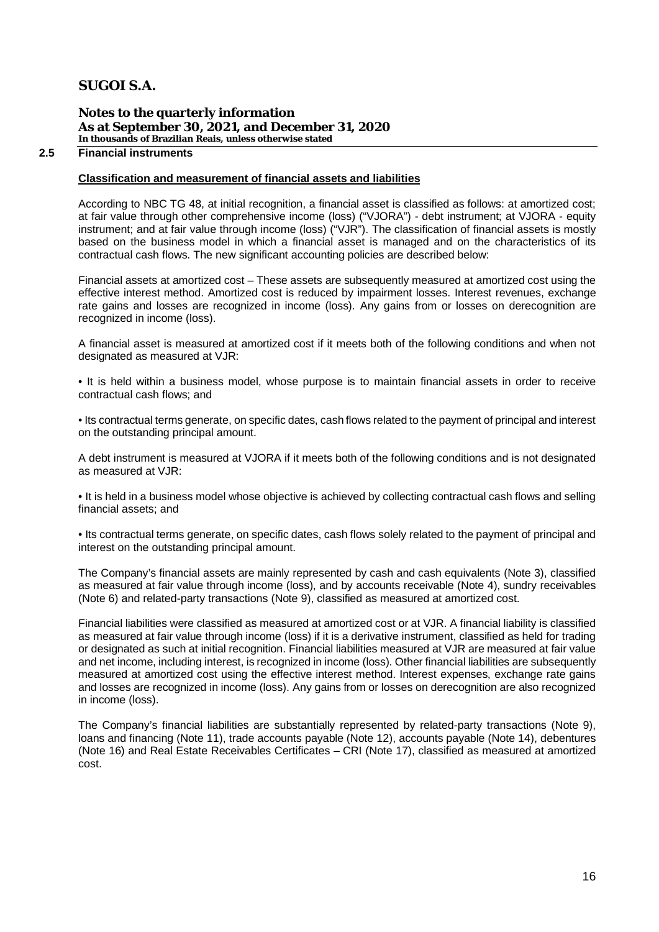**Notes to the quarterly information As at September 30, 2021, and December 31, 2020 In thousands of Brazilian Reais, unless otherwise stated**

### **2.5 Financial instruments**

#### **Classification and measurement of financial assets and liabilities**

According to NBC TG 48, at initial recognition, a financial asset is classified as follows: at amortized cost; at fair value through other comprehensive income (loss) ("VJORA") - debt instrument; at VJORA - equity instrument; and at fair value through income (loss) ("VJR"). The classification of financial assets is mostly based on the business model in which a financial asset is managed and on the characteristics of its contractual cash flows. The new significant accounting policies are described below:

Financial assets at amortized cost – These assets are subsequently measured at amortized cost using the effective interest method. Amortized cost is reduced by impairment losses. Interest revenues, exchange rate gains and losses are recognized in income (loss). Any gains from or losses on derecognition are recognized in income (loss).

A financial asset is measured at amortized cost if it meets both of the following conditions and when not designated as measured at VJR:

• It is held within a business model, whose purpose is to maintain financial assets in order to receive contractual cash flows; and

• Its contractual terms generate, on specific dates, cash flows related to the payment of principal and interest on the outstanding principal amount.

A debt instrument is measured at VJORA if it meets both of the following conditions and is not designated as measured at VJR:

• It is held in a business model whose objective is achieved by collecting contractual cash flows and selling financial assets; and

• Its contractual terms generate, on specific dates, cash flows solely related to the payment of principal and interest on the outstanding principal amount.

The Company's financial assets are mainly represented by cash and cash equivalents (Note 3), classified as measured at fair value through income (loss), and by accounts receivable (Note 4), sundry receivables (Note 6) and related-party transactions (Note 9), classified as measured at amortized cost.

Financial liabilities were classified as measured at amortized cost or at VJR. A financial liability is classified as measured at fair value through income (loss) if it is a derivative instrument, classified as held for trading or designated as such at initial recognition. Financial liabilities measured at VJR are measured at fair value and net income, including interest, is recognized in income (loss). Other financial liabilities are subsequently measured at amortized cost using the effective interest method. Interest expenses, exchange rate gains and losses are recognized in income (loss). Any gains from or losses on derecognition are also recognized in income (loss).

The Company's financial liabilities are substantially represented by related-party transactions (Note 9), loans and financing (Note 11), trade accounts payable (Note 12), accounts payable (Note 14), debentures (Note 16) and Real Estate Receivables Certificates – CRI (Note 17), classified as measured at amortized cost.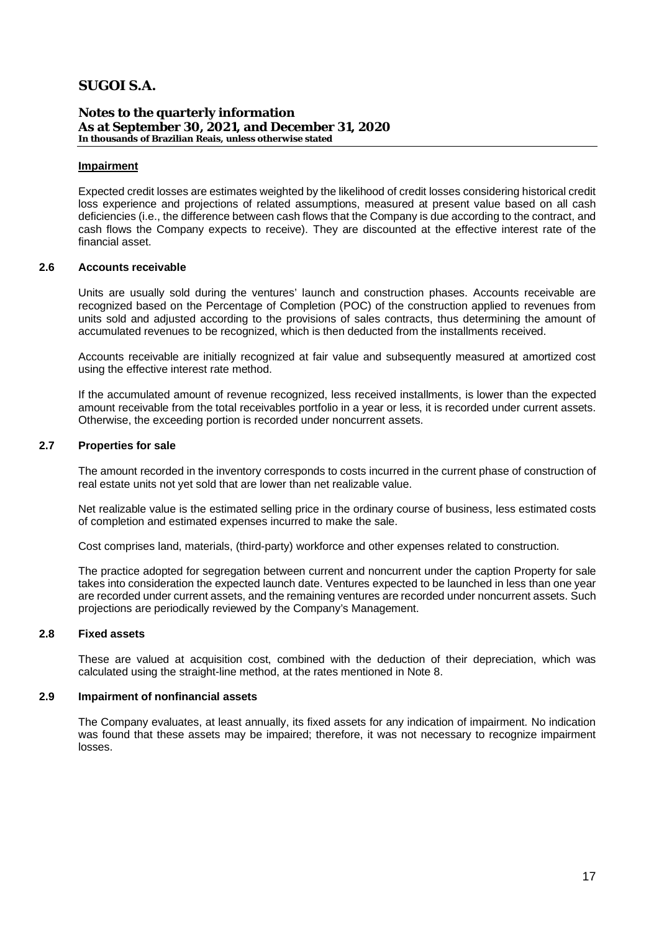**Notes to the quarterly information As at September 30, 2021, and December 31, 2020 In thousands of Brazilian Reais, unless otherwise stated**

#### **Impairment**

Expected credit losses are estimates weighted by the likelihood of credit losses considering historical credit loss experience and projections of related assumptions, measured at present value based on all cash deficiencies (i.e., the difference between cash flows that the Company is due according to the contract, and cash flows the Company expects to receive). They are discounted at the effective interest rate of the financial asset.

#### **2.6 Accounts receivable**

Units are usually sold during the ventures' launch and construction phases. Accounts receivable are recognized based on the Percentage of Completion (POC) of the construction applied to revenues from units sold and adjusted according to the provisions of sales contracts, thus determining the amount of accumulated revenues to be recognized, which is then deducted from the installments received.

Accounts receivable are initially recognized at fair value and subsequently measured at amortized cost using the effective interest rate method.

If the accumulated amount of revenue recognized, less received installments, is lower than the expected amount receivable from the total receivables portfolio in a year or less, it is recorded under current assets. Otherwise, the exceeding portion is recorded under noncurrent assets.

#### **2.7 Properties for sale**

The amount recorded in the inventory corresponds to costs incurred in the current phase of construction of real estate units not yet sold that are lower than net realizable value.

Net realizable value is the estimated selling price in the ordinary course of business, less estimated costs of completion and estimated expenses incurred to make the sale.

Cost comprises land, materials, (third-party) workforce and other expenses related to construction.

The practice adopted for segregation between current and noncurrent under the caption Property for sale takes into consideration the expected launch date. Ventures expected to be launched in less than one year are recorded under current assets, and the remaining ventures are recorded under noncurrent assets. Such projections are periodically reviewed by the Company's Management.

#### **2.8 Fixed assets**

These are valued at acquisition cost, combined with the deduction of their depreciation, which was calculated using the straight-line method, at the rates mentioned in Note 8.

#### **2.9 Impairment of nonfinancial assets**

The Company evaluates, at least annually, its fixed assets for any indication of impairment. No indication was found that these assets may be impaired; therefore, it was not necessary to recognize impairment losses.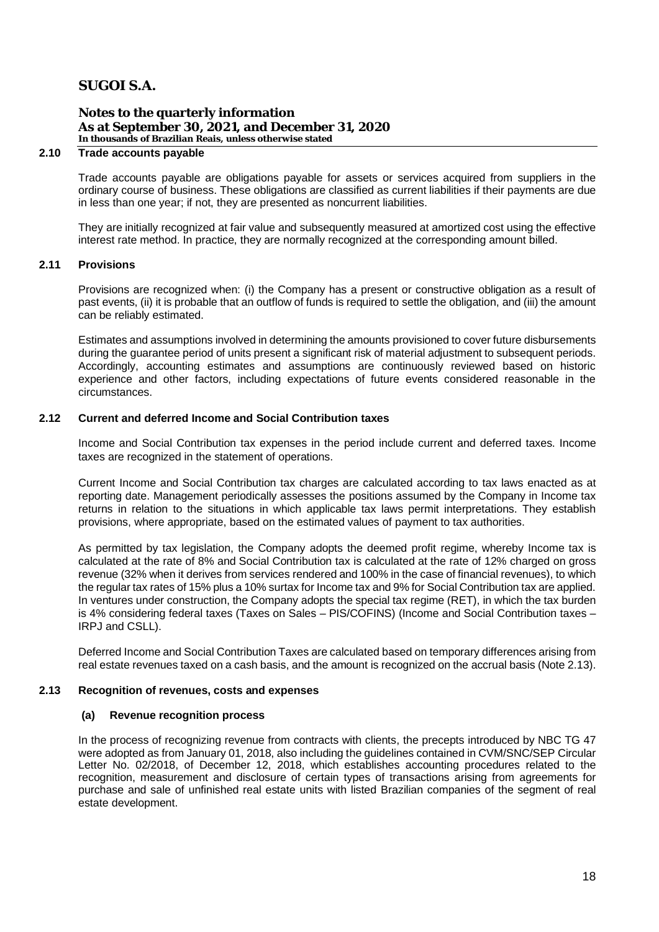**Notes to the quarterly information As at September 30, 2021, and December 31, 2020 In thousands of Brazilian Reais, unless otherwise stated**

### **2.10 Trade accounts payable**

Trade accounts payable are obligations payable for assets or services acquired from suppliers in the ordinary course of business. These obligations are classified as current liabilities if their payments are due in less than one year; if not, they are presented as noncurrent liabilities.

They are initially recognized at fair value and subsequently measured at amortized cost using the effective interest rate method. In practice, they are normally recognized at the corresponding amount billed.

### **2.11 Provisions**

Provisions are recognized when: (i) the Company has a present or constructive obligation as a result of past events, (ii) it is probable that an outflow of funds is required to settle the obligation, and (iii) the amount can be reliably estimated.

Estimates and assumptions involved in determining the amounts provisioned to cover future disbursements during the guarantee period of units present a significant risk of material adjustment to subsequent periods. Accordingly, accounting estimates and assumptions are continuously reviewed based on historic experience and other factors, including expectations of future events considered reasonable in the circumstances.

#### **2.12 Current and deferred Income and Social Contribution taxes**

Income and Social Contribution tax expenses in the period include current and deferred taxes. Income taxes are recognized in the statement of operations.

Current Income and Social Contribution tax charges are calculated according to tax laws enacted as at reporting date. Management periodically assesses the positions assumed by the Company in Income tax returns in relation to the situations in which applicable tax laws permit interpretations. They establish provisions, where appropriate, based on the estimated values of payment to tax authorities.

As permitted by tax legislation, the Company adopts the deemed profit regime, whereby Income tax is calculated at the rate of 8% and Social Contribution tax is calculated at the rate of 12% charged on gross revenue (32% when it derives from services rendered and 100% in the case of financial revenues), to which the regular tax rates of 15% plus a 10% surtax for Income tax and 9% for Social Contribution tax are applied. In ventures under construction, the Company adopts the special tax regime (RET), in which the tax burden is 4% considering federal taxes (Taxes on Sales – PIS/COFINS) (Income and Social Contribution taxes – IRPJ and CSLL).

Deferred Income and Social Contribution Taxes are calculated based on temporary differences arising from real estate revenues taxed on a cash basis, and the amount is recognized on the accrual basis (Note 2.13).

### **2.13 Recognition of revenues, costs and expenses**

### **(a) Revenue recognition process**

In the process of recognizing revenue from contracts with clients, the precepts introduced by NBC TG 47 were adopted as from January 01, 2018, also including the guidelines contained in CVM/SNC/SEP Circular Letter No. 02/2018, of December 12, 2018, which establishes accounting procedures related to the recognition, measurement and disclosure of certain types of transactions arising from agreements for purchase and sale of unfinished real estate units with listed Brazilian companies of the segment of real estate development.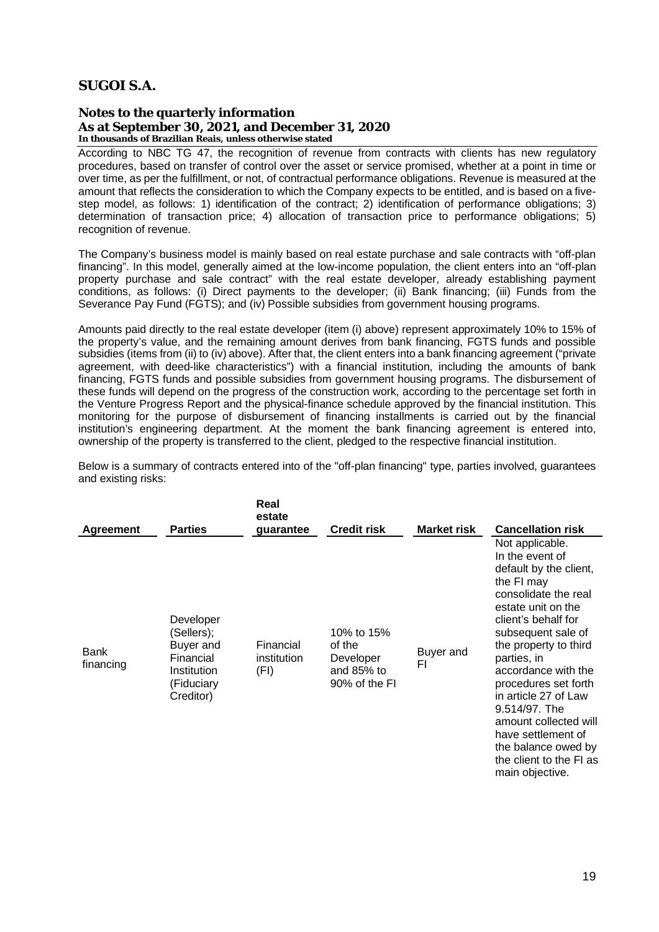**Notes to the quarterly information As at September 30, 2021, and December 31, 2020 In thousands of Brazilian Reais, unless otherwise stated**

According to NBC TG 47, the recognition of revenue from contracts with clients has new regulatory procedures, based on transfer of control over the asset or service promised, whether at a point in time or over time, as per the fulfillment, or not, of contractual performance obligations. Revenue is measured at the amount that reflects the consideration to which the Company expects to be entitled, and is based on a fivestep model, as follows: 1) identification of the contract; 2) identification of performance obligations; 3) determination of transaction price; 4) allocation of transaction price to performance obligations; 5) recognition of revenue.

The Company's business model is mainly based on real estate purchase and sale contracts with "off-plan financing". In this model, generally aimed at the low-income population, the client enters into an "off-plan property purchase and sale contract" with the real estate developer, already establishing payment conditions, as follows: (i) Direct payments to the developer; (ii) Bank financing; (iii) Funds from the Severance Pay Fund (FGTS); and (iv) Possible subsidies from government housing programs.

Amounts paid directly to the real estate developer (item (i) above) represent approximately 10% to 15% of the property's value, and the remaining amount derives from bank financing, FGTS funds and possible subsidies (items from (ii) to (iv) above). After that, the client enters into a bank financing agreement ("private agreement, with deed-like characteristics") with a financial institution, including the amounts of bank financing, FGTS funds and possible subsidies from government housing programs. The disbursement of these funds will depend on the progress of the construction work, according to the percentage set forth in the Venture Progress Report and the physical-finance schedule approved by the financial institution. This monitoring for the purpose of disbursement of financing installments is carried out by the financial institution's engineering department. At the moment the bank financing agreement is entered into, ownership of the property is transferred to the client, pledged to the respective financial institution.

Below is a summary of contracts entered into of the "off-plan financing" type, parties involved, guarantees and existing risks:

| Agreement                | <b>Parties</b>                                                                              | Real<br>estate<br>guarantee      | <b>Credit risk</b>                                               | <b>Market risk</b> | <b>Cancellation risk</b>                                                                                                                                                                                                                                                                                                                                                                                                  |
|--------------------------|---------------------------------------------------------------------------------------------|----------------------------------|------------------------------------------------------------------|--------------------|---------------------------------------------------------------------------------------------------------------------------------------------------------------------------------------------------------------------------------------------------------------------------------------------------------------------------------------------------------------------------------------------------------------------------|
| <b>Bank</b><br>financing | Developer<br>(Sellers);<br>Buyer and<br>Financial<br>Institution<br>(Fiduciary<br>Creditor) | Financial<br>institution<br>(FI) | 10% to 15%<br>of the<br>Developer<br>and 85% to<br>90% of the FI | Buyer and<br>FI    | Not applicable.<br>In the event of<br>default by the client,<br>the FI may<br>consolidate the real<br>estate unit on the<br>client's behalf for<br>subsequent sale of<br>the property to third<br>parties, in<br>accordance with the<br>procedures set forth<br>in article 27 of Law<br>9.514/97. The<br>amount collected will<br>have settlement of<br>the balance owed by<br>the client to the FI as<br>main objective. |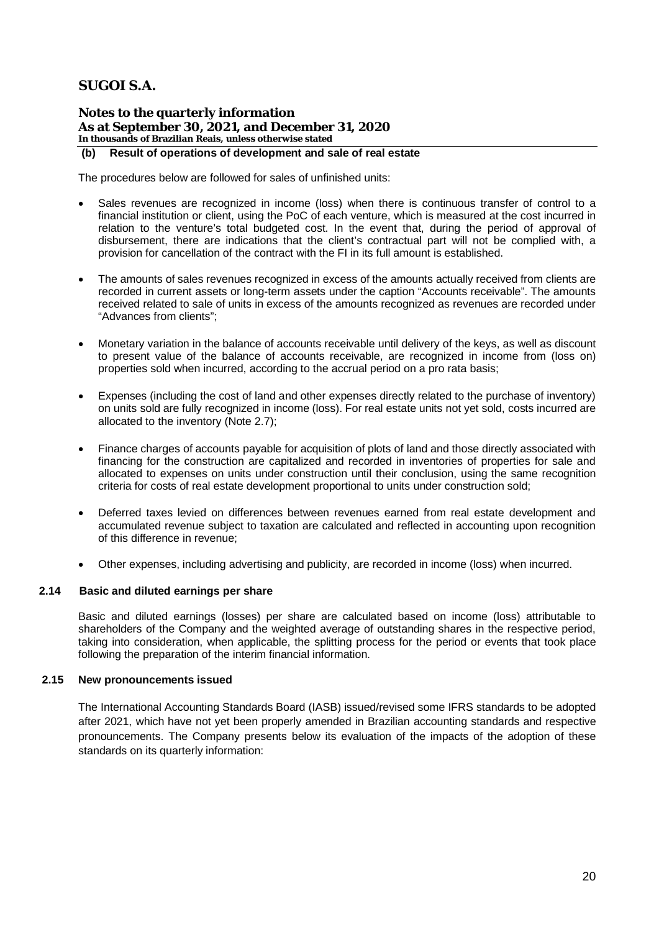**Notes to the quarterly information As at September 30, 2021, and December 31, 2020 In thousands of Brazilian Reais, unless otherwise stated**

### **(b) Result of operations of development and sale of real estate**

The procedures below are followed for sales of unfinished units:

- Sales revenues are recognized in income (loss) when there is continuous transfer of control to a financial institution or client, using the PoC of each venture, which is measured at the cost incurred in relation to the venture's total budgeted cost. In the event that, during the period of approval of disbursement, there are indications that the client's contractual part will not be complied with, a provision for cancellation of the contract with the FI in its full amount is established.
- The amounts of sales revenues recognized in excess of the amounts actually received from clients are recorded in current assets or long-term assets under the caption "Accounts receivable". The amounts received related to sale of units in excess of the amounts recognized as revenues are recorded under "Advances from clients";
- · Monetary variation in the balance of accounts receivable until delivery of the keys, as well as discount to present value of the balance of accounts receivable, are recognized in income from (loss on) properties sold when incurred, according to the accrual period on a pro rata basis;
- Expenses (including the cost of land and other expenses directly related to the purchase of inventory) on units sold are fully recognized in income (loss). For real estate units not yet sold, costs incurred are allocated to the inventory (Note 2.7);
- Finance charges of accounts payable for acquisition of plots of land and those directly associated with financing for the construction are capitalized and recorded in inventories of properties for sale and allocated to expenses on units under construction until their conclusion, using the same recognition criteria for costs of real estate development proportional to units under construction sold;
- Deferred taxes levied on differences between revenues earned from real estate development and accumulated revenue subject to taxation are calculated and reflected in accounting upon recognition of this difference in revenue;
- · Other expenses, including advertising and publicity, are recorded in income (loss) when incurred.

### **2.14 Basic and diluted earnings per share**

Basic and diluted earnings (losses) per share are calculated based on income (loss) attributable to shareholders of the Company and the weighted average of outstanding shares in the respective period, taking into consideration, when applicable, the splitting process for the period or events that took place following the preparation of the interim financial information.

#### **2.15 New pronouncements issued**

The International Accounting Standards Board (IASB) issued/revised some IFRS standards to be adopted after 2021, which have not yet been properly amended in Brazilian accounting standards and respective pronouncements. The Company presents below its evaluation of the impacts of the adoption of these standards on its quarterly information: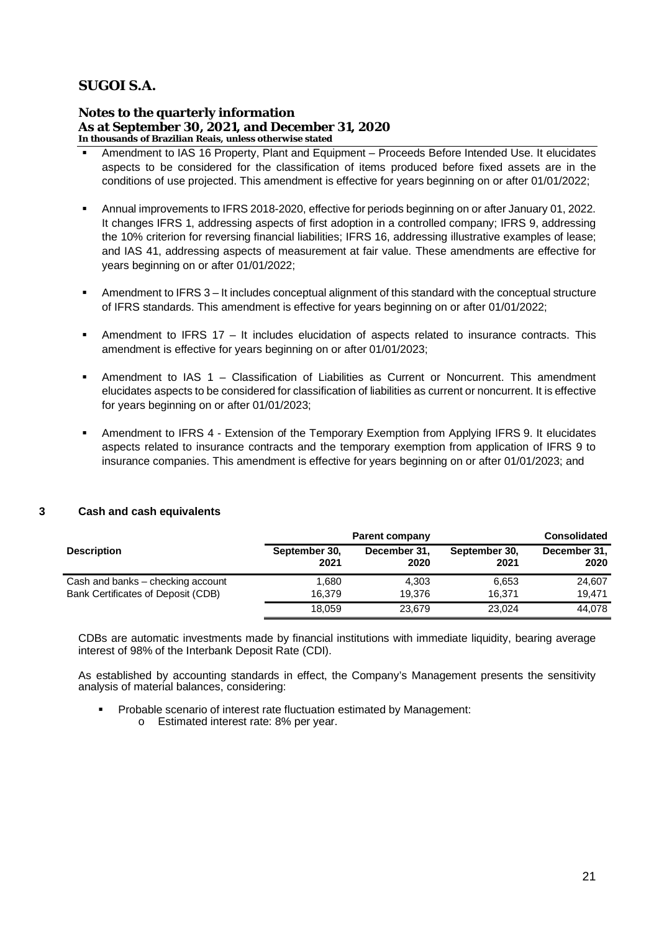**Notes to the quarterly information As at September 30, 2021, and December 31, 2020 In thousands of Brazilian Reais, unless otherwise stated**

- § Amendment to IAS 16 Property, Plant and Equipment Proceeds Before Intended Use. It elucidates aspects to be considered for the classification of items produced before fixed assets are in the conditions of use projected. This amendment is effective for years beginning on or after 01/01/2022;
- § Annual improvements to IFRS 2018-2020, effective for periods beginning on or after January 01, 2022. It changes IFRS 1, addressing aspects of first adoption in a controlled company; IFRS 9, addressing the 10% criterion for reversing financial liabilities; IFRS 16, addressing illustrative examples of lease; and IAS 41, addressing aspects of measurement at fair value. These amendments are effective for years beginning on or after 01/01/2022;
- Amendment to IFRS 3 It includes conceptual alignment of this standard with the conceptual structure of IFRS standards. This amendment is effective for years beginning on or after 01/01/2022;
- § Amendment to IFRS 17 It includes elucidation of aspects related to insurance contracts. This amendment is effective for years beginning on or after 01/01/2023;
- § Amendment to IAS 1 Classification of Liabilities as Current or Noncurrent. This amendment elucidates aspects to be considered for classification of liabilities as current or noncurrent. It is effective for years beginning on or after 01/01/2023;
- § Amendment to IFRS 4 Extension of the Temporary Exemption from Applying IFRS 9. It elucidates aspects related to insurance contracts and the temporary exemption from application of IFRS 9 to insurance companies. This amendment is effective for years beginning on or after 01/01/2023; and

### **3 Cash and cash equivalents**

|                                    | <b>Parent company</b> | <b>Consolidated</b>  |                       |                      |
|------------------------------------|-----------------------|----------------------|-----------------------|----------------------|
| <b>Description</b>                 | September 30,<br>2021 | December 31,<br>2020 | September 30,<br>2021 | December 31,<br>2020 |
| Cash and banks - checking account  | 1.680                 | 4.303                | 6.653                 | 24.607               |
| Bank Certificates of Deposit (CDB) | 16.379                | 19.376               | 16.371                | 19.471               |
|                                    | 18,059                | 23,679               | 23.024                | 44,078               |

CDBs are automatic investments made by financial institutions with immediate liquidity, bearing average interest of 98% of the Interbank Deposit Rate (CDI).

As established by accounting standards in effect, the Company's Management presents the sensitivity analysis of material balances, considering:

- § Probable scenario of interest rate fluctuation estimated by Management:
	- o Estimated interest rate: 8% per year.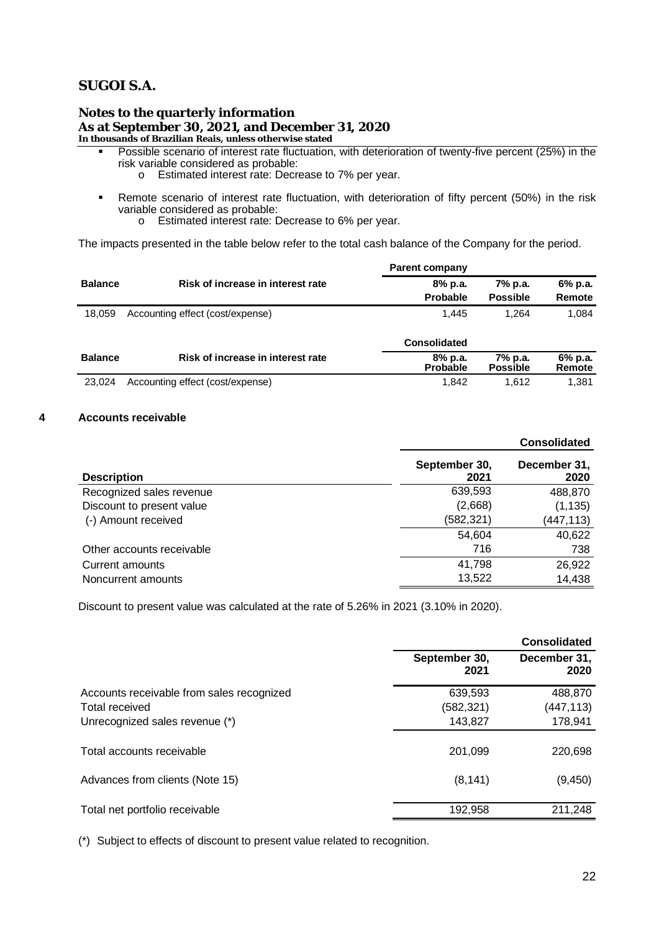**Notes to the quarterly information As at September 30, 2021, and December 31, 2020 In thousands of Brazilian Reais, unless otherwise stated**

- Possible scenario of interest rate fluctuation, with deterioration of twenty-five percent (25%) in the risk variable considered as probable:
	- o Estimated interest rate: Decrease to 7% per year.
- § Remote scenario of interest rate fluctuation, with deterioration of fifty percent (50%) in the risk variable considered as probable:
	- o Estimated interest rate: Decrease to 6% per year.

The impacts presented in the table below refer to the total cash balance of the Company for the period.

|                |                                   | <b>Parent company</b>      |                            |                   |
|----------------|-----------------------------------|----------------------------|----------------------------|-------------------|
| <b>Balance</b> | Risk of increase in interest rate | 8% p.a.                    | 7% p.a.                    | 6% p.a.           |
|                |                                   | Probable                   | <b>Possible</b>            | Remote            |
| 18,059         | Accounting effect (cost/expense)  | 1.445                      | 1.264                      | 1.084             |
|                |                                   | <b>Consolidated</b>        |                            |                   |
| <b>Balance</b> | Risk of increase in interest rate | 8% p.a.<br><b>Probable</b> | 7% p.a.<br><b>Possible</b> | 6% p.a.<br>Remote |
| 23.024         | Accounting effect (cost/expense)  | 1.842                      | 1.612                      | 1,381             |

### **4 Accounts receivable**

|                           |                       | <b>Consolidated</b>  |
|---------------------------|-----------------------|----------------------|
| <b>Description</b>        | September 30,<br>2021 | December 31,<br>2020 |
| Recognized sales revenue  | 639,593               | 488,870              |
| Discount to present value | (2,668)               | (1, 135)             |
| (-) Amount received       | (582, 321)            | (447, 113)           |
|                           | 54,604                | 40,622               |
| Other accounts receivable | 716                   | 738                  |
| Current amounts           | 41.798                | 26,922               |
| Noncurrent amounts        | 13,522                | 14,438               |

Discount to present value was calculated at the rate of 5.26% in 2021 (3.10% in 2020).

|                                           |                       | <b>Consolidated</b>  |
|-------------------------------------------|-----------------------|----------------------|
|                                           | September 30,<br>2021 | December 31,<br>2020 |
| Accounts receivable from sales recognized | 639,593               | 488,870              |
| Total received                            | (582, 321)            | (447,113)            |
| Unrecognized sales revenue (*)            | 143,827               | 178,941              |
| Total accounts receivable                 | 201,099               | 220,698              |
| Advances from clients (Note 15)           | (8, 141)              | (9, 450)             |
|                                           |                       |                      |
| Total net portfolio receivable            | 192,958               | 211,248              |
|                                           |                       |                      |

(\*) Subject to effects of discount to present value related to recognition.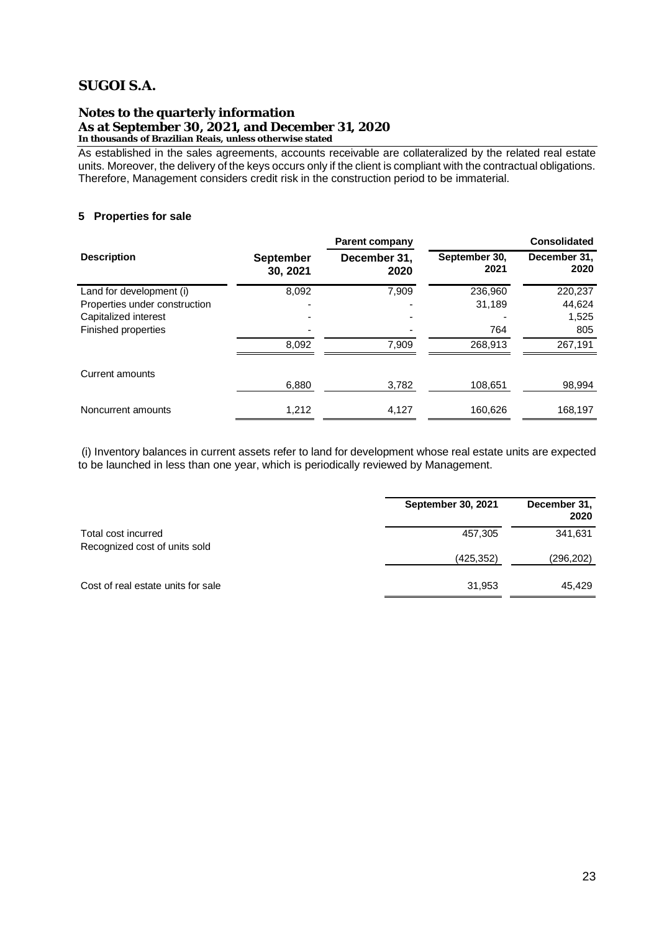#### **Notes to the quarterly information As at September 30, 2021, and December 31, 2020 In thousands of Brazilian Reais, unless otherwise stated**

As established in the sales agreements, accounts receivable are collateralized by the related real estate units. Moreover, the delivery of the keys occurs only if the client is compliant with the contractual obligations. Therefore, Management considers credit risk in the construction period to be immaterial.

## **5 Properties for sale**

|                               |                              | <b>Parent company</b> |                       | <b>Consolidated</b>  |
|-------------------------------|------------------------------|-----------------------|-----------------------|----------------------|
| <b>Description</b>            | <b>September</b><br>30, 2021 | December 31,<br>2020  | September 30,<br>2021 | December 31,<br>2020 |
| Land for development (i)      | 8,092                        | 7.909                 | 236,960               | 220,237              |
| Properties under construction |                              |                       | 31,189                | 44,624               |
| Capitalized interest          |                              |                       |                       | 1,525                |
| Finished properties           |                              |                       | 764                   | 805                  |
|                               | 8.092                        | 7.909                 | 268.913               | 267,191              |
| Current amounts               |                              |                       |                       |                      |
|                               | 6,880                        | 3,782                 | 108,651               | 98,994               |
| Noncurrent amounts            | 1.212                        | 4,127                 | 160.626               | 168,197              |

(i) Inventory balances in current assets refer to land for development whose real estate units are expected to be launched in less than one year, which is periodically reviewed by Management.

|                                    | <b>September 30, 2021</b> | December 31,<br>2020 |
|------------------------------------|---------------------------|----------------------|
| Total cost incurred                | 457,305                   | 341,631              |
| Recognized cost of units sold      | (425, 352)                | (296, 202)           |
| Cost of real estate units for sale | 31,953                    | 45.429               |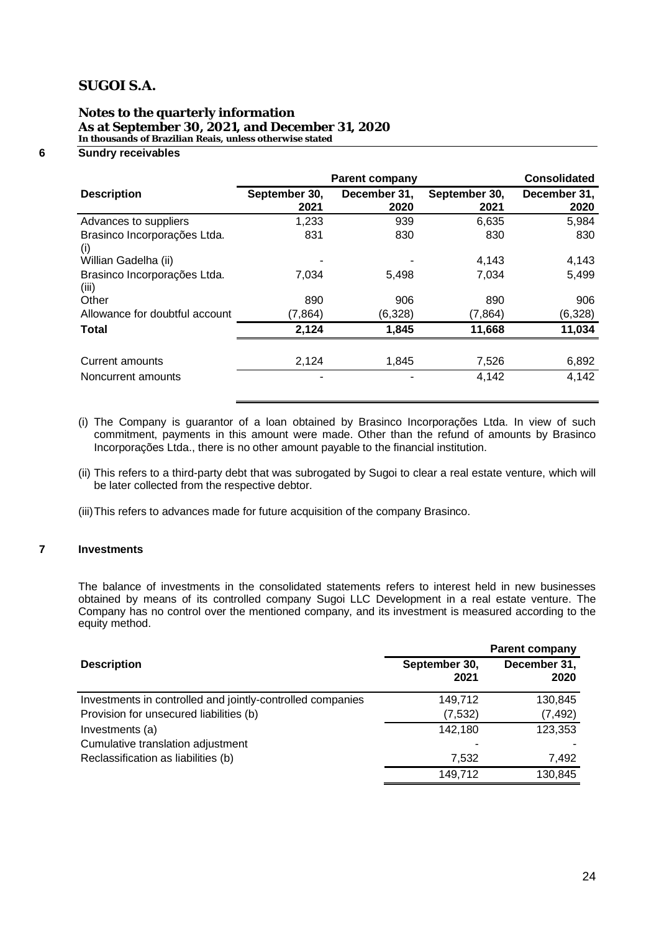### **Notes to the quarterly information As at September 30, 2021, and December 31, 2020 In thousands of Brazilian Reais, unless otherwise stated**

### **6 Sundry receivables**

|                                       | <b>Parent company</b> | <b>Consolidated</b>  |                       |                      |
|---------------------------------------|-----------------------|----------------------|-----------------------|----------------------|
| <b>Description</b>                    | September 30,<br>2021 | December 31,<br>2020 | September 30,<br>2021 | December 31,<br>2020 |
| Advances to suppliers                 | 1,233                 | 939                  | 6,635                 | 5,984                |
| Brasinco Incorporações Ltda.<br>(i)   | 831                   | 830                  | 830                   | 830                  |
| Willian Gadelha (ii)                  |                       |                      | 4,143                 | 4,143                |
| Brasinco Incorporações Ltda.<br>(iii) | 7,034                 | 5,498                | 7,034                 | 5,499                |
| Other                                 | 890                   | 906                  | 890                   | 906                  |
| Allowance for doubtful account        | (7, 864)              | (6,328)              | (7, 864)              | (6,328)              |
| <b>Total</b>                          | 2,124                 | 1,845                | 11,668                | 11,034               |
| Current amounts                       | 2,124                 | 1,845                | 7,526                 | 6,892                |
| Noncurrent amounts                    |                       |                      | 4,142                 | 4,142                |

- (i) The Company is guarantor of a loan obtained by Brasinco Incorporações Ltda. In view of such commitment, payments in this amount were made. Other than the refund of amounts by Brasinco Incorporações Ltda., there is no other amount payable to the financial institution.
- (ii) This refers to a third-party debt that was subrogated by Sugoi to clear a real estate venture, which will be later collected from the respective debtor.
- (iii)This refers to advances made for future acquisition of the company Brasinco.

### **7 Investments**

The balance of investments in the consolidated statements refers to interest held in new businesses obtained by means of its controlled company Sugoi LLC Development in a real estate venture. The Company has no control over the mentioned company, and its investment is measured according to the equity method.

|                                                            | <b>Parent company</b> |                      |  |  |
|------------------------------------------------------------|-----------------------|----------------------|--|--|
| <b>Description</b>                                         | September 30,<br>2021 | December 31,<br>2020 |  |  |
| Investments in controlled and jointly-controlled companies | 149,712               | 130,845              |  |  |
| Provision for unsecured liabilities (b)                    | (7, 532)              | (7, 492)             |  |  |
| Investments (a)                                            | 142,180               | 123,353              |  |  |
| Cumulative translation adjustment                          |                       |                      |  |  |
| Reclassification as liabilities (b)                        | 7,532                 | 7,492                |  |  |
|                                                            | 149,712               | 130,845              |  |  |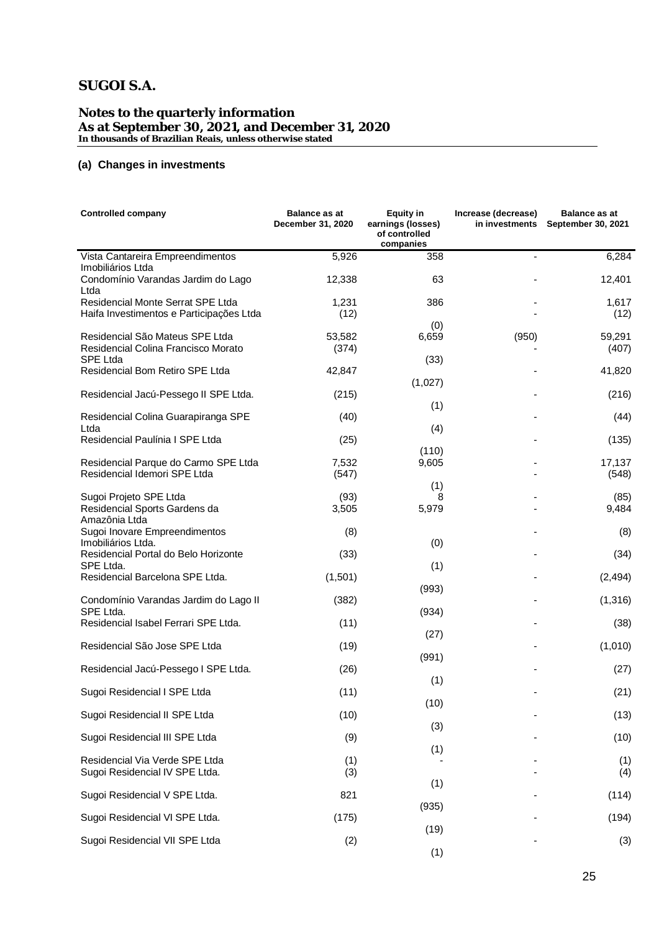#### **Notes to the quarterly information As at September 30, 2021, and December 31, 2020 In thousands of Brazilian Reais, unless otherwise stated**

### **(a) Changes in investments**

| <b>Controlled company</b>                                                     | <b>Balance as at</b><br>December 31, 2020 | Equity in<br>earnings (losses)<br>of controlled<br>companies | Increase (decrease)<br>in investments | <b>Balance as at</b><br>September 30, 2021 |
|-------------------------------------------------------------------------------|-------------------------------------------|--------------------------------------------------------------|---------------------------------------|--------------------------------------------|
| Vista Cantareira Empreendimentos                                              | 5,926                                     | 358                                                          |                                       | 6,284                                      |
| Imobiliários Ltda<br>Condomínio Varandas Jardim do Lago                       | 12,338                                    | 63                                                           |                                       | 12,401                                     |
| Ltda                                                                          |                                           |                                                              |                                       |                                            |
| Residencial Monte Serrat SPE Ltda<br>Haifa Investimentos e Participações Ltda | 1,231<br>(12)                             | 386                                                          |                                       | 1,617<br>(12)                              |
| Residencial São Mateus SPE Ltda<br>Residencial Colina Francisco Morato        | 53,582<br>(374)                           | (0)<br>6,659                                                 | (950)                                 | 59,291<br>(407)                            |
| SPE Ltda<br>Residencial Bom Retiro SPE Ltda                                   | 42,847                                    | (33)                                                         |                                       | 41,820                                     |
|                                                                               |                                           | (1,027)                                                      |                                       |                                            |
| Residencial Jacú-Pessego II SPE Ltda.                                         | (215)                                     |                                                              |                                       | (216)                                      |
|                                                                               |                                           | (1)                                                          |                                       |                                            |
| Residencial Colina Guarapiranga SPE<br>Ltda                                   | (40)                                      |                                                              |                                       | (44)                                       |
| Residencial Paulínia I SPE Ltda                                               | (25)                                      | (4)                                                          |                                       | (135)                                      |
|                                                                               |                                           | (110)                                                        |                                       |                                            |
| Residencial Parque do Carmo SPE Ltda                                          | 7,532                                     | 9,605                                                        |                                       | 17,137                                     |
| Residencial Idemori SPE Ltda                                                  | (547)                                     |                                                              |                                       | (548)                                      |
|                                                                               |                                           | (1)                                                          |                                       |                                            |
| Sugoi Projeto SPE Ltda<br>Residencial Sports Gardens da                       | (93)<br>3,505                             | 8<br>5,979                                                   |                                       | (85)<br>9,484                              |
| Amazônia Ltda                                                                 |                                           |                                                              |                                       |                                            |
| Sugoi Inovare Empreendimentos                                                 | (8)                                       |                                                              |                                       | (8)                                        |
| Imobiliários Ltda.                                                            |                                           | (0)                                                          |                                       |                                            |
| Residencial Portal do Belo Horizonte                                          | (33)                                      |                                                              |                                       | (34)                                       |
| SPE Ltda.<br>Residencial Barcelona SPE Ltda.                                  | (1,501)                                   | (1)                                                          |                                       | (2, 494)                                   |
|                                                                               |                                           | (993)                                                        |                                       |                                            |
| Condomínio Varandas Jardim do Lago II                                         | (382)                                     |                                                              |                                       | (1, 316)                                   |
| SPE Ltda.                                                                     |                                           | (934)                                                        |                                       |                                            |
| Residencial Isabel Ferrari SPE Ltda.                                          | (11)                                      |                                                              |                                       | (38)                                       |
| Residencial São Jose SPE Ltda                                                 | (19)                                      | (27)                                                         |                                       | (1,010)                                    |
|                                                                               |                                           | (991)                                                        |                                       |                                            |
| Residencial Jacú-Pessego I SPE Ltda.                                          | (26)                                      |                                                              |                                       | (27)                                       |
|                                                                               |                                           | (1)                                                          |                                       |                                            |
| Sugoi Residencial I SPE Ltda                                                  | (11)                                      |                                                              |                                       | (21)                                       |
|                                                                               |                                           | (10)                                                         |                                       |                                            |
| Sugoi Residencial II SPE Ltda                                                 | (10)                                      | (3)                                                          |                                       | (13)                                       |
| Sugoi Residencial III SPE Ltda                                                | (9)                                       |                                                              |                                       | (10)                                       |
|                                                                               |                                           | (1)                                                          |                                       |                                            |
| Residencial Via Verde SPE Ltda                                                | (1)                                       |                                                              |                                       | (1)                                        |
| Sugoi Residencial IV SPE Ltda.                                                | (3)                                       |                                                              |                                       | (4)                                        |
| Sugoi Residencial V SPE Ltda.                                                 | 821                                       | (1)                                                          |                                       | (114)                                      |
|                                                                               |                                           | (935)                                                        |                                       |                                            |
| Sugoi Residencial VI SPE Ltda.                                                | (175)                                     |                                                              |                                       | (194)                                      |
|                                                                               |                                           | (19)                                                         |                                       |                                            |
| Sugoi Residencial VII SPE Ltda                                                | (2)                                       | (1)                                                          |                                       | (3)                                        |
|                                                                               |                                           |                                                              |                                       |                                            |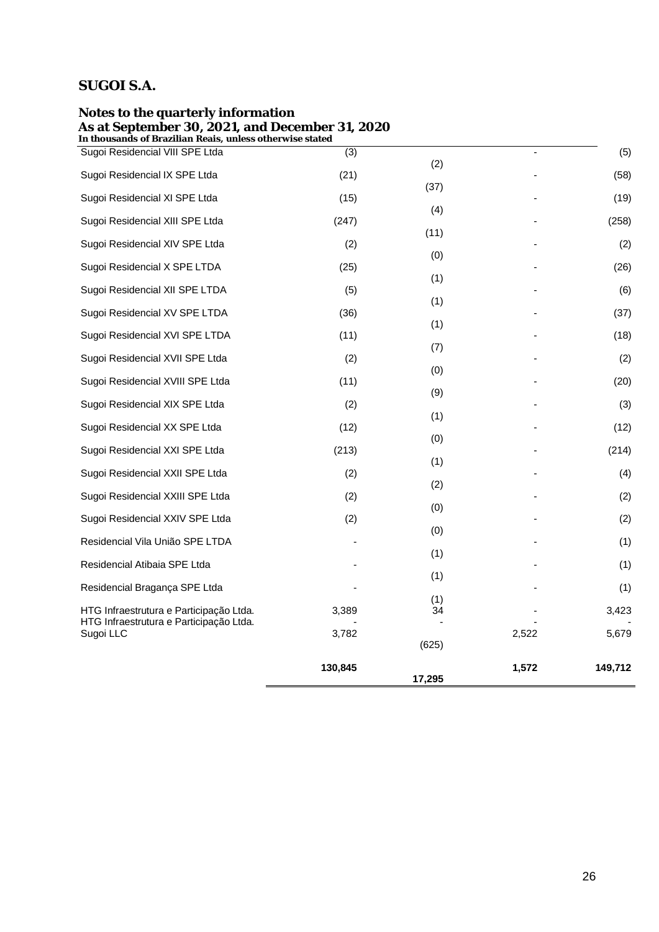|                                                                                             | 130,845 | 17,295     | 1,572 | 149,712 |
|---------------------------------------------------------------------------------------------|---------|------------|-------|---------|
| Sugoi LLC                                                                                   | 3,782   | (625)      | 2,522 | 5,679   |
| HTG Infraestrutura e Participação Ltda.<br>HTG Infraestrutura e Participação Ltda.          | 3,389   | 34         |       | 3,423   |
| Residencial Bragança SPE Ltda                                                               |         | (1)        |       | (1)     |
| Residencial Atibaia SPE Ltda                                                                |         | (1)        |       | (1)     |
| Residencial Vila União SPE LTDA                                                             |         | (1)        |       | (1)     |
| Sugoi Residencial XXIV SPE Ltda                                                             | (2)     | (0)        |       | (2)     |
| Sugoi Residencial XXIII SPE Ltda                                                            | (2)     | (0)        |       | (2)     |
| Sugoi Residencial XXII SPE Ltda                                                             | (2)     | (2)        |       | (4)     |
| Sugoi Residencial XXI SPE Ltda                                                              | (213)   | (0)<br>(1) |       | (214)   |
| Sugoi Residencial XX SPE Ltda                                                               | (12)    | (1)        |       | (12)    |
| Sugoi Residencial XIX SPE Ltda                                                              | (2)     |            |       | (3)     |
| Sugoi Residencial XVIII SPE Ltda                                                            | (11)    | (0)<br>(9) |       | (20)    |
| Sugoi Residencial XVII SPE Ltda                                                             | (2)     | (7)        |       | (2)     |
| Sugoi Residencial XVI SPE LTDA                                                              | (11)    | (1)        |       | (18)    |
| Sugoi Residencial XV SPE LTDA                                                               | (36)    | (1)        |       | (37)    |
| Sugoi Residencial XII SPE LTDA                                                              | (5)     | (1)        |       | (6)     |
| Sugoi Residencial X SPE LTDA                                                                | (25)    | (0)        |       | (26)    |
| Sugoi Residencial XIV SPE Ltda                                                              | (2)     | (11)       |       | (2)     |
| Sugoi Residencial XIII SPE Ltda                                                             | (247)   | (4)        |       | (258)   |
| Sugoi Residencial XI SPE Ltda                                                               | (15)    | (37)       |       | (19)    |
| Sugoi Residencial IX SPE Ltda                                                               | (21)    | (2)        |       | (58)    |
| In thousands of Brazilian Reais, unless otherwise stated<br>Sugoi Residencial VIII SPE Ltda | (3)     |            |       | (5)     |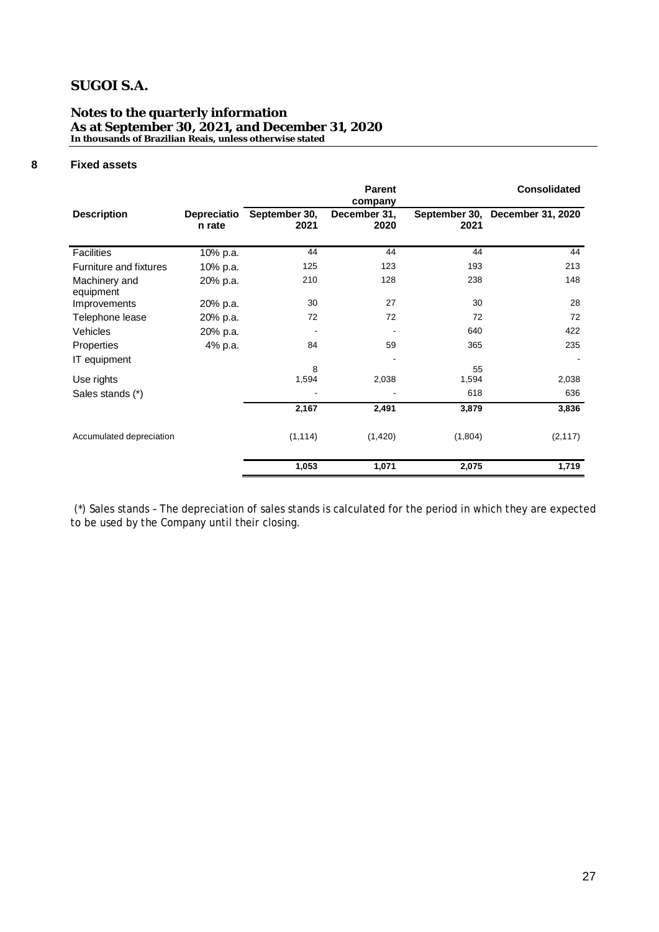### **Notes to the quarterly information As at September 30, 2021, and December 31, 2020 In thousands of Brazilian Reais, unless otherwise stated**

# **8 Fixed assets**

|                               |                              |                       | <b>Parent</b><br>company |             | <b>Consolidated</b>             |
|-------------------------------|------------------------------|-----------------------|--------------------------|-------------|---------------------------------|
| <b>Description</b>            | <b>Depreciatio</b><br>n rate | September 30,<br>2021 | December 31,<br>2020     | 2021        | September 30, December 31, 2020 |
| <b>Facilities</b>             | 10% p.a.                     | 44                    | 44                       | 44          | 44                              |
| <b>Furniture and fixtures</b> | 10% p.a.                     | 125                   | 123                      | 193         | 213                             |
| Machinery and<br>equipment    | 20% p.a.                     | 210                   | 128                      | 238         | 148                             |
| Improvements                  | 20% p.a.                     | 30                    | 27                       | 30          | 28                              |
| Telephone lease               | 20% p.a.                     | 72                    | 72                       | 72          | 72                              |
| Vehicles                      | 20% p.a.                     |                       |                          | 640         | 422                             |
| Properties                    | 4% p.a.                      | 84                    | 59                       | 365         | 235                             |
| IT equipment                  |                              |                       |                          |             |                                 |
| Use rights                    |                              | 8<br>1,594            | 2,038                    | 55<br>1,594 | 2,038                           |
| Sales stands (*)              |                              |                       |                          | 618         | 636                             |
|                               |                              | 2,167                 | 2,491                    | 3,879       | 3,836                           |
| Accumulated depreciation      |                              | (1, 114)              | (1,420)                  | (1,804)     | (2, 117)                        |
|                               |                              | 1,053                 | 1,071                    | 2,075       | 1,719                           |

(\*) Sales stands – The depreciation of sales stands is calculated for the period in which they are expected to be used by the Company until their closing.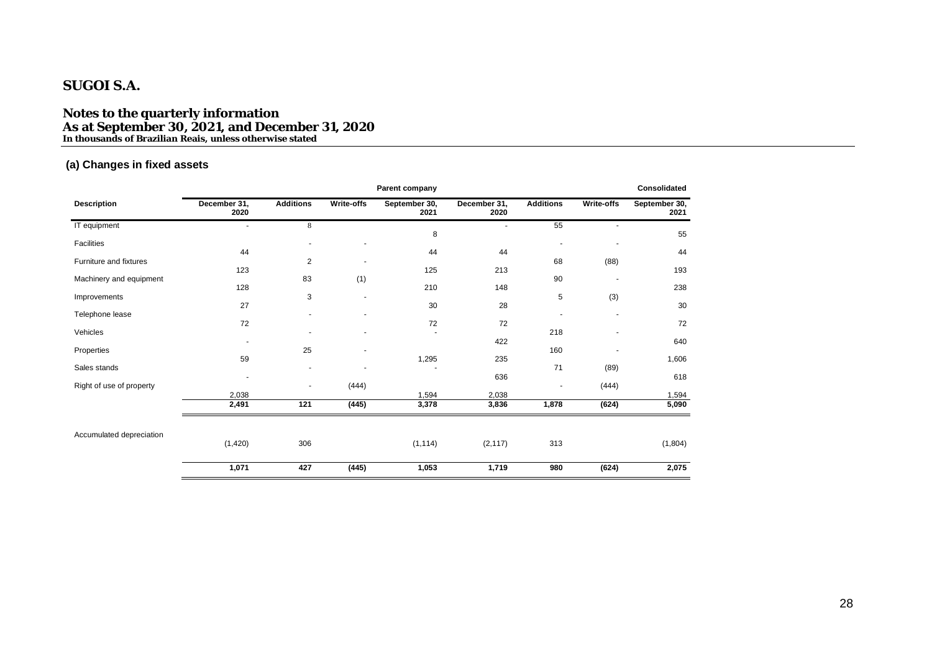**Notes to the quarterly information As at September 30, 2021, and December 31, 2020 In thousands of Brazilian Reais, unless otherwise stated**

### **(a) Changes in fixed assets**

|                          |                      |                  |                | Parent company        |                      |                  |                          | Consolidated          |
|--------------------------|----------------------|------------------|----------------|-----------------------|----------------------|------------------|--------------------------|-----------------------|
| <b>Description</b>       | December 31,<br>2020 | <b>Additions</b> | Write-offs     | September 30,<br>2021 | December 31,<br>2020 | <b>Additions</b> | Write-offs               | September 30,<br>2021 |
| IT equipment             |                      | 8                |                |                       | ٠                    | 55               | $\ddot{\phantom{1}}$     |                       |
| Facilities               |                      |                  |                | 8                     |                      |                  |                          | 55                    |
| Furniture and fixtures   | 44<br>123            | $\overline{2}$   |                | 44<br>125             | 44<br>213            | 68               | (88)                     | 44<br>193             |
| Machinery and equipment  | 128                  | 83               | (1)            | 210                   | 148                  | 90               | $\overline{\phantom{a}}$ | 238                   |
| Improvements             | 27                   | 3                | $\blacksquare$ | 30                    | 28                   | 5                | (3)                      | 30                    |
| Telephone lease          | 72                   |                  | $\blacksquare$ | 72                    | 72                   |                  | $\blacksquare$           | 72                    |
| Vehicles                 |                      |                  | $\overline{a}$ |                       | 422                  | 218              |                          | 640                   |
| Properties               | 59                   | 25               |                | 1,295                 | 235                  | 160              |                          | 1,606                 |
| Sales stands             |                      | ٠                |                |                       | 636                  | 71               | (89)                     | 618                   |
| Right of use of property | 2,038                |                  | (444)          | 1,594                 | 2,038                |                  | (444)                    | 1,594                 |
|                          | 2,491                | 121              | (445)          | 3,378                 | 3,836                | 1,878            | (624)                    | 5,090                 |
|                          |                      |                  |                |                       |                      |                  |                          |                       |
| Accumulated depreciation | (1,420)              | 306              |                | (1, 114)              | (2, 117)             | 313              |                          | (1,804)               |
|                          | 1,071                | 427              | (445)          | 1,053                 | 1,719                | 980              | (624)                    | 2,075                 |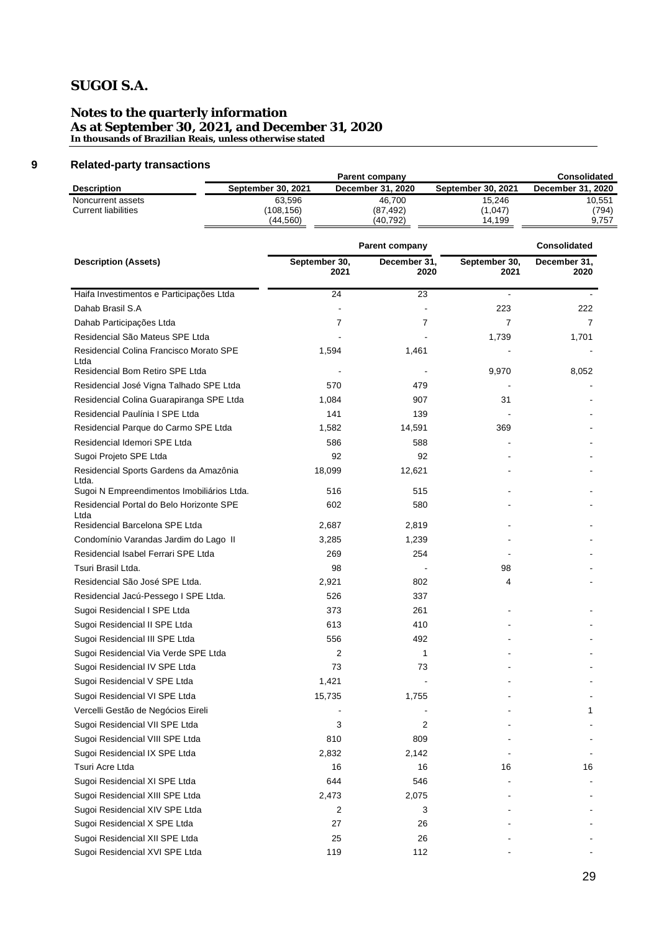#### **Notes to the quarterly information As at September 30, 2021, and December 31, 2020 In thousands of Brazilian Reais, unless otherwise stated**

### **9 Related-party transactions**

|                     |                           | Consolidated      |                           |                   |
|---------------------|---------------------------|-------------------|---------------------------|-------------------|
| Description         | <b>September 30, 2021</b> | December 31, 2020 | <b>September 30, 2021</b> | December 31, 2020 |
| Noncurrent assets   | 63.596                    | 46.700            | 15,246                    | 10.551            |
| Current liabilities | (108,156)                 | (87, 492)         | (1.047)                   | (794)             |
|                     | (44.560)                  | (40,792)          | 14.199                    | 9.757             |
|                     |                           |                   |                           |                   |

|                                                                                    | Parent company        |                      | <b>Consolidated</b>   |                      |  |
|------------------------------------------------------------------------------------|-----------------------|----------------------|-----------------------|----------------------|--|
| <b>Description (Assets)</b>                                                        | September 30,<br>2021 | December 31,<br>2020 | September 30,<br>2021 | December 31,<br>2020 |  |
| Haifa Investimentos e Participações Ltda                                           | 24                    | 23                   |                       |                      |  |
| Dahab Brasil S.A                                                                   |                       |                      | 223                   | 222                  |  |
| Dahab Participações Ltda                                                           | 7                     | 7                    | $\overline{7}$        | $\overline{7}$       |  |
| Residencial São Mateus SPE Ltda                                                    |                       |                      | 1,739                 | 1,701                |  |
| Residencial Colina Francisco Morato SPE<br>Ltda                                    | 1,594                 | 1,461                |                       |                      |  |
| Residencial Bom Retiro SPE Ltda                                                    |                       |                      | 9,970                 | 8,052                |  |
| Residencial José Vigna Talhado SPE Ltda                                            | 570                   | 479                  |                       |                      |  |
| Residencial Colina Guarapiranga SPE Ltda                                           | 1,084                 | 907                  | 31                    |                      |  |
| Residencial Paulínia I SPE Ltda                                                    | 141                   | 139                  |                       |                      |  |
| Residencial Parque do Carmo SPE Ltda                                               | 1,582                 | 14,591               | 369                   |                      |  |
| Residencial Idemori SPE Ltda                                                       | 586                   | 588                  |                       |                      |  |
| Sugoi Projeto SPE Ltda                                                             | 92                    | 92                   |                       |                      |  |
| Residencial Sports Gardens da Amazônia<br>Ltda.                                    | 18,099                | 12,621               |                       |                      |  |
| Sugoi N Empreendimentos Imobiliários Ltda.                                         | 516                   | 515                  |                       |                      |  |
| Residencial Portal do Belo Horizonte SPE<br>Ltda<br>Residencial Barcelona SPE Ltda | 602<br>2,687          | 580<br>2,819         |                       |                      |  |
| Condomínio Varandas Jardim do Lago II                                              |                       | 1,239                |                       |                      |  |
| Residencial Isabel Ferrari SPE Ltda                                                | 3,285                 |                      |                       |                      |  |
| Tsuri Brasil Ltda.                                                                 | 269<br>98             | 254                  |                       |                      |  |
| Residencial São José SPE Ltda.                                                     |                       |                      | 98<br>4               |                      |  |
|                                                                                    | 2,921                 | 802                  |                       |                      |  |
| Residencial Jacú-Pessego I SPE Ltda.                                               | 526                   | 337                  |                       |                      |  |
| Sugoi Residencial I SPE Ltda                                                       | 373                   | 261<br>410           |                       |                      |  |
| Sugoi Residencial II SPE Ltda                                                      | 613<br>556            | 492                  |                       |                      |  |
| Sugoi Residencial III SPE Ltda                                                     | 2                     | 1                    |                       |                      |  |
| Sugoi Residencial Via Verde SPE Ltda<br>Sugoi Residencial IV SPE Ltda              | 73                    | 73                   |                       |                      |  |
| Sugoi Residencial V SPE Ltda                                                       | 1,421                 |                      |                       |                      |  |
|                                                                                    |                       |                      |                       |                      |  |
| Sugoi Residencial VI SPE Ltda                                                      | 15,735                | 1,755                |                       |                      |  |
| Vercelli Gestão de Negócios Eireli                                                 |                       |                      |                       | 1                    |  |
| Sugoi Residencial VII SPE Ltda                                                     | 3                     | 2                    |                       |                      |  |
| Sugoi Residencial VIII SPE Ltda                                                    | 810                   | 809                  |                       |                      |  |
| Sugoi Residencial IX SPE Ltda                                                      | 2,832                 | 2,142                |                       |                      |  |
| Tsuri Acre Ltda                                                                    | 16                    | 16                   | 16                    | 16                   |  |
| Sugoi Residencial XI SPE Ltda                                                      | 644                   | 546                  |                       |                      |  |
| Sugoi Residencial XIII SPE Ltda                                                    | 2,473                 | 2,075                |                       |                      |  |
| Sugoi Residencial XIV SPE Ltda                                                     | 2                     | 3                    |                       |                      |  |
| Sugoi Residencial X SPE Ltda                                                       | 27                    | 26                   |                       |                      |  |
| Sugoi Residencial XII SPE Ltda                                                     | 25                    | 26                   |                       |                      |  |
| Sugoi Residencial XVI SPE Ltda                                                     | 119                   | 112                  |                       |                      |  |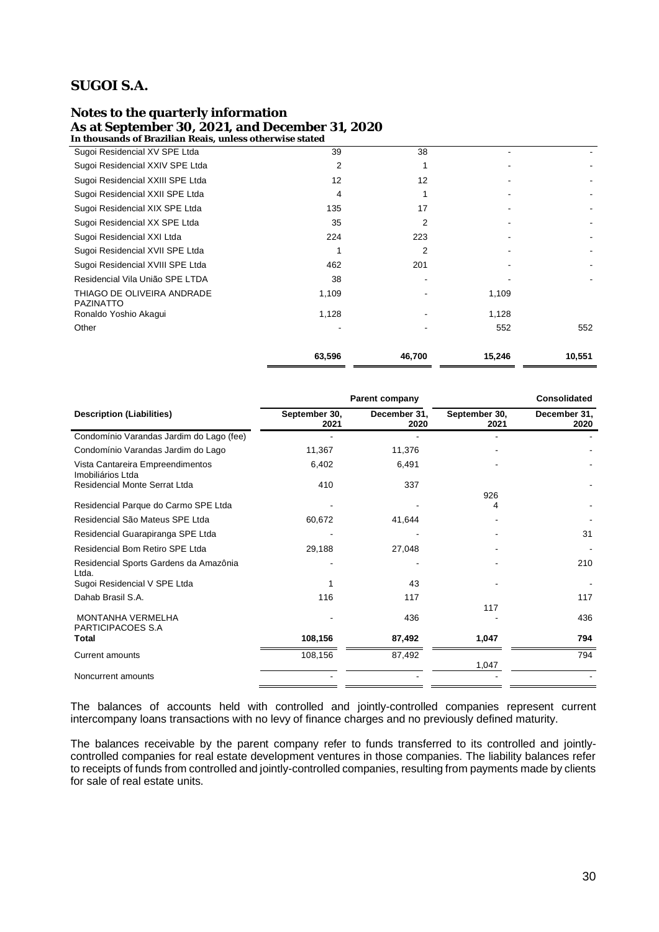### **Notes to the quarterly information As at September 30, 2021, and December 31, 2020**

**In thousands of Brazilian Reais, unless otherwise stated**

|                                                | 63,596 | 46,700         | 15,246 | 10,551 |
|------------------------------------------------|--------|----------------|--------|--------|
| Other                                          |        |                | 552    | 552    |
| Ronaldo Yoshio Akagui                          | 1,128  |                | 1,128  |        |
| THIAGO DE OLIVEIRA ANDRADE<br><b>PAZINATTO</b> | 1,109  |                | 1,109  |        |
| Residencial Vila União SPE LTDA                | 38     |                |        |        |
| Sugoi Residencial XVIII SPE Ltda               | 462    | 201            |        |        |
| Sugoi Residencial XVII SPE Ltda                |        | $\overline{2}$ |        |        |
| Sugoi Residencial XXI Ltda                     | 224    | 223            |        |        |
| Sugoi Residencial XX SPE Ltda                  | 35     | 2              |        |        |
| Sugoi Residencial XIX SPE Ltda                 | 135    | 17             |        |        |
| Sugoi Residencial XXII SPE Ltda                | 4      |                |        |        |
| Sugoi Residencial XXIII SPE Ltda               | 12     | 12             |        |        |
| Sugoi Residencial XXIV SPE Ltda                | 2      |                |        |        |
| Sugoi Residencial XV SPE Ltda                  | 39     | 38             |        |        |

|                                                       |                       | Parent company       |                       | <b>Consolidated</b>  |  |
|-------------------------------------------------------|-----------------------|----------------------|-----------------------|----------------------|--|
| <b>Description (Liabilities)</b>                      | September 30,<br>2021 | December 31,<br>2020 | September 30,<br>2021 | December 31,<br>2020 |  |
| Condomínio Varandas Jardim do Lago (fee)              |                       |                      |                       |                      |  |
| Condomínio Varandas Jardim do Lago                    | 11,367                | 11,376               |                       |                      |  |
| Vista Cantareira Empreendimentos<br>Imobiliários Ltda | 6,402                 | 6,491                |                       |                      |  |
| Residencial Monte Serrat Ltda                         | 410                   | 337                  | 926                   |                      |  |
| Residencial Parque do Carmo SPE Ltda                  |                       |                      | 4                     |                      |  |
| Residencial São Mateus SPE Ltda                       | 60,672                | 41,644               |                       |                      |  |
| Residencial Guarapiranga SPE Ltda                     |                       |                      |                       | 31                   |  |
| Residencial Bom Retiro SPE Ltda                       | 29,188                | 27,048               |                       |                      |  |
| Residencial Sports Gardens da Amazônia<br>Ltda.       |                       |                      |                       | 210                  |  |
| Sugoi Residencial V SPE Ltda                          |                       | 43                   |                       |                      |  |
| Dahab Brasil S.A.                                     | 116                   | 117                  | 117                   | 117                  |  |
| <b>MONTANHA VERMELHA</b><br>PARTICIPACOES S.A         |                       | 436                  |                       | 436                  |  |
| Total                                                 | 108,156               | 87,492               | 1,047                 | 794                  |  |
| <b>Current amounts</b>                                | 108,156               | 87,492               | 1,047                 | 794                  |  |
| Noncurrent amounts                                    |                       |                      |                       |                      |  |

The balances of accounts held with controlled and jointly-controlled companies represent current intercompany loans transactions with no levy of finance charges and no previously defined maturity.

The balances receivable by the parent company refer to funds transferred to its controlled and jointlycontrolled companies for real estate development ventures in those companies. The liability balances refer to receipts of funds from controlled and jointly-controlled companies, resulting from payments made by clients for sale of real estate units.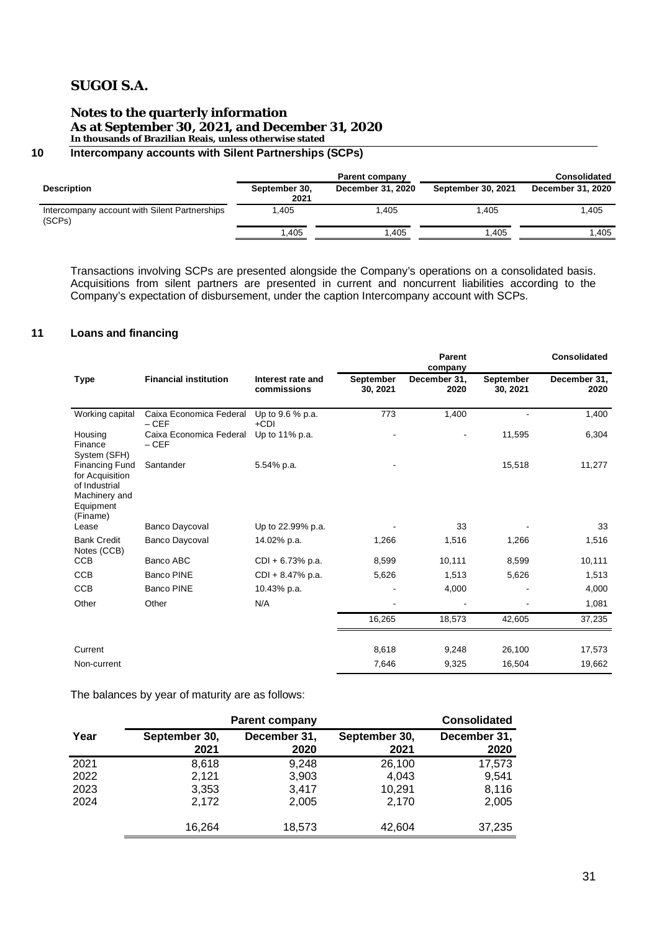#### **Notes to the quarterly information As at September 30, 2021, and December 31, 2020 In thousands of Brazilian Reais, unless otherwise stated**

# **10 Intercompany accounts with Silent Partnerships (SCPs)**

|                                                         | Parent company        |                   |                    | <b>Consolidated</b> |
|---------------------------------------------------------|-----------------------|-------------------|--------------------|---------------------|
| <b>Description</b>                                      | September 30,<br>2021 | December 31, 2020 | September 30, 2021 | December 31, 2020   |
| Intercompany account with Silent Partnerships<br>(SCPs) | .405                  | 1.405             | 1.405              | 1.405               |
|                                                         | 1,405                 | .405              | .405               | .405                |

Transactions involving SCPs are presented alongside the Company's operations on a consolidated basis. Acquisitions from silent partners are presented in current and noncurrent liabilities according to the Company's expectation of disbursement, under the caption Intercompany account with SCPs.

### **11 Loans and financing**

|                                                                                                     |                                   |                                  |                              | Parent<br>company    |                       | <b>Consolidated</b>  |
|-----------------------------------------------------------------------------------------------------|-----------------------------------|----------------------------------|------------------------------|----------------------|-----------------------|----------------------|
| <b>Type</b>                                                                                         | <b>Financial institution</b>      | Interest rate and<br>commissions | <b>September</b><br>30, 2021 | December 31,<br>2020 | September<br>30, 2021 | December 31,<br>2020 |
| Working capital                                                                                     | Caixa Economica Federal<br>$-CEF$ | Up to 9.6 % p.a.<br>+CDI         | 773                          | 1,400                |                       | 1,400                |
| Housing<br>Finance<br>System (SFH)                                                                  | Caixa Economica Federal<br>$-CEF$ | Up to 11% p.a.                   |                              |                      | 11,595                | 6,304                |
| <b>Financing Fund</b><br>for Acquisition<br>of Industrial<br>Machinery and<br>Equipment<br>(Finame) | Santander                         | 5.54% p.a.                       |                              |                      | 15,518                | 11,277               |
| Lease                                                                                               | <b>Banco Daycoval</b>             | Up to 22.99% p.a.                |                              | 33                   |                       | 33                   |
| <b>Bank Credit</b><br>Notes (CCB)                                                                   | <b>Banco Daycoval</b>             | 14.02% p.a.                      | 1,266                        | 1,516                | 1,266                 | 1,516                |
| <b>CCB</b>                                                                                          | Banco ABC                         | $CDI + 6.73% p.a.$               | 8,599                        | 10,111               | 8,599                 | 10,111               |
| <b>CCB</b>                                                                                          | <b>Banco PINE</b>                 | $CDI + 8.47\%$ p.a.              | 5,626                        | 1,513                | 5,626                 | 1,513                |
| <b>CCB</b>                                                                                          | <b>Banco PINE</b>                 | 10.43% p.a.                      |                              | 4,000                |                       | 4,000                |
| Other                                                                                               | Other                             | N/A                              |                              |                      |                       | 1,081                |
|                                                                                                     |                                   |                                  | 16,265                       | 18,573               | 42,605                | 37,235               |
| Current                                                                                             |                                   |                                  | 8,618                        | 9,248                | 26,100                | 17,573               |
| Non-current                                                                                         |                                   |                                  | 7,646                        | 9,325                | 16,504                | 19,662               |
|                                                                                                     |                                   |                                  |                              |                      |                       |                      |

The balances by year of maturity are as follows:

|      |                       | <b>Parent company</b> |                       | <b>Consolidated</b>  |
|------|-----------------------|-----------------------|-----------------------|----------------------|
| Year | September 30,<br>2021 | December 31,<br>2020  | September 30,<br>2021 | December 31,<br>2020 |
| 2021 | 8,618                 | 9,248                 | 26,100                | 17,573               |
| 2022 | 2,121                 | 3,903                 | 4,043                 | 9,541                |
| 2023 | 3,353                 | 3.417                 | 10,291                | 8,116                |
| 2024 | 2,172                 | 2,005                 | 2.170                 | 2,005                |
|      | 16,264                | 18,573                | 42,604                | 37,235               |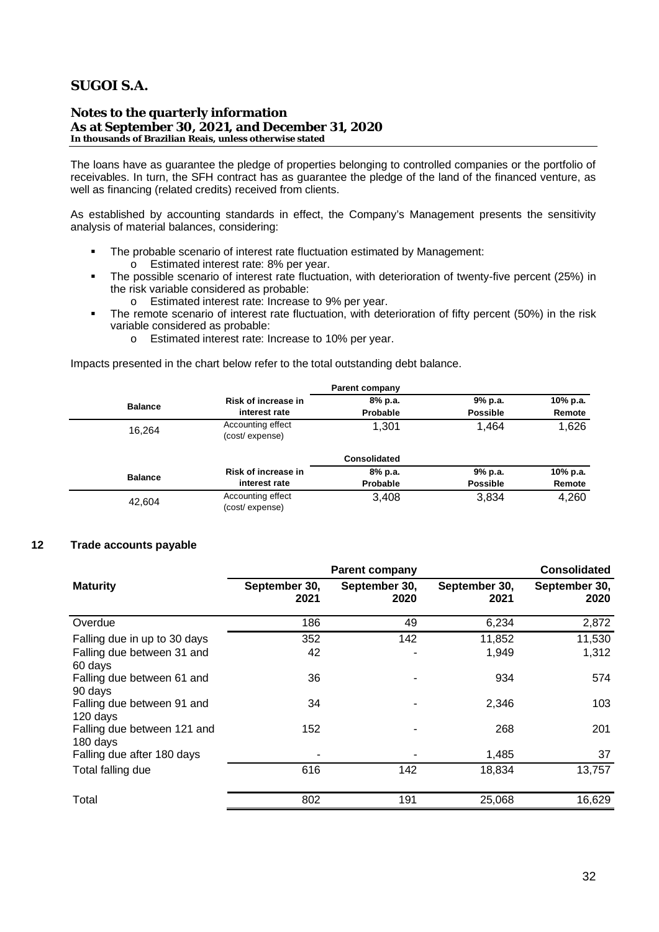**Notes to the quarterly information As at September 30, 2021, and December 31, 2020 In thousands of Brazilian Reais, unless otherwise stated**

The loans have as guarantee the pledge of properties belonging to controlled companies or the portfolio of receivables. In turn, the SFH contract has as guarantee the pledge of the land of the financed venture, as well as financing (related credits) received from clients.

As established by accounting standards in effect, the Company's Management presents the sensitivity analysis of material balances, considering:

- § The probable scenario of interest rate fluctuation estimated by Management:
	- o Estimated interest rate: 8% per year.
- § The possible scenario of interest rate fluctuation, with deterioration of twenty-five percent (25%) in the risk variable considered as probable:
	- o Estimated interest rate: Increase to 9% per year.
- The remote scenario of interest rate fluctuation, with deterioration of fifty percent (50%) in the risk variable considered as probable:
	- o Estimated interest rate: Increase to 10% per year.

Impacts presented in the chart below refer to the total outstanding debt balance.

|                |                                     | <b>Parent company</b> |                 |          |
|----------------|-------------------------------------|-----------------------|-----------------|----------|
| <b>Balance</b> | Risk of increase in                 | 8% p.a.               | 9% p.a.         | 10% p.a. |
|                | interest rate                       | Probable              | <b>Possible</b> | Remote   |
| 16,264         | Accounting effect<br>(cost/expense) | 1.301                 | 1,464           | 1,626    |
|                |                                     | <b>Consolidated</b>   |                 |          |
| <b>Balance</b> | Risk of increase in                 | 8% p.a.               | 9% p.a.         | 10% p.a. |
|                | interest rate                       | Probable              | <b>Possible</b> | Remote   |
| 42.604         | Accounting effect<br>(cost/expense) | 3.408                 | 3,834           | 4,260    |

### **12 Trade accounts payable**

|                                         |                       | <b>Parent company</b> | <b>Consolidated</b>   |                       |  |
|-----------------------------------------|-----------------------|-----------------------|-----------------------|-----------------------|--|
| <b>Maturity</b>                         | September 30,<br>2021 | September 30,<br>2020 | September 30,<br>2021 | September 30,<br>2020 |  |
| Overdue                                 | 186                   | 49                    | 6,234                 | 2,872                 |  |
| Falling due in up to 30 days            | 352                   | 142                   | 11,852                | 11,530                |  |
| Falling due between 31 and<br>60 days   | 42                    |                       | 1,949                 | 1,312                 |  |
| Falling due between 61 and<br>90 days   | 36                    |                       | 934                   | 574                   |  |
| Falling due between 91 and<br>120 days  | 34                    |                       | 2,346                 | 103                   |  |
| Falling due between 121 and<br>180 days | 152                   |                       | 268                   | 201                   |  |
| Falling due after 180 days              |                       |                       | 1,485                 | 37                    |  |
| Total falling due                       | 616                   | 142                   | 18,834                | 13,757                |  |
| Total                                   | 802                   | 191                   | 25,068                | 16,629                |  |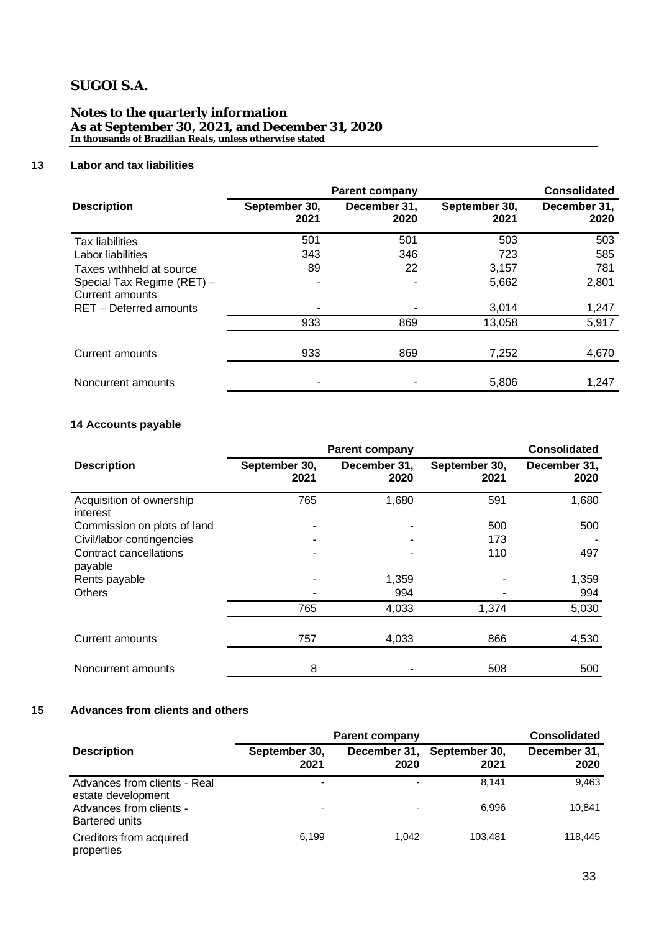### **Notes to the quarterly information As at September 30, 2021, and December 31, 2020 In thousands of Brazilian Reais, unless otherwise stated**

### **13 Labor and tax liabilities**

|                                               | <b>Parent company</b> | <b>Consolidated</b>  |                       |                      |
|-----------------------------------------------|-----------------------|----------------------|-----------------------|----------------------|
| <b>Description</b>                            | September 30,<br>2021 | December 31,<br>2020 | September 30,<br>2021 | December 31,<br>2020 |
| <b>Tax liabilities</b>                        | 501                   | 501                  | 503                   | 503                  |
| Labor liabilities                             | 343                   | 346                  | 723                   | 585                  |
| Taxes withheld at source                      | 89                    | 22                   | 3,157                 | 781                  |
| Special Tax Regime (RET) -<br>Current amounts |                       |                      | 5,662                 | 2,801                |
| RET - Deferred amounts                        |                       |                      | 3,014                 | 1,247                |
|                                               | 933                   | 869                  | 13,058                | 5,917                |
| Current amounts                               | 933                   | 869                  | 7,252                 | 4,670                |
| Noncurrent amounts                            |                       |                      | 5,806                 | 1,247                |

# **14 Accounts payable**

|                                      | <b>Parent company</b> | <b>Consolidated</b>  |                       |                      |
|--------------------------------------|-----------------------|----------------------|-----------------------|----------------------|
| <b>Description</b>                   | September 30,<br>2021 | December 31,<br>2020 | September 30,<br>2021 | December 31,<br>2020 |
| Acquisition of ownership<br>interest | 765                   | 1,680                | 591                   | 1,680                |
| Commission on plots of land          | -                     |                      | 500                   | 500                  |
| Civil/labor contingencies            |                       |                      | 173                   |                      |
| Contract cancellations<br>payable    | ۰                     |                      | 110                   | 497                  |
| Rents payable                        |                       | 1,359                |                       | 1,359                |
| <b>Others</b>                        |                       | 994                  |                       | 994                  |
|                                      | 765                   | 4,033                | 1,374                 | 5,030                |
| <b>Current amounts</b>               | 757                   | 4,033                | 866                   | 4,530                |
| Noncurrent amounts                   | 8                     |                      | 508                   | 500                  |

# **15 Advances from clients and others**

|                                                                                                        | <b>Parent company</b>                                | <b>Consolidated</b>  |                       |                      |
|--------------------------------------------------------------------------------------------------------|------------------------------------------------------|----------------------|-----------------------|----------------------|
| <b>Description</b>                                                                                     | September 30,<br>2021                                | December 31,<br>2020 | September 30,<br>2021 | December 31,<br>2020 |
| Advances from clients - Real<br>estate development<br>Advances from clients -<br><b>Bartered units</b> | $\overline{\phantom{0}}$<br>$\overline{\phantom{0}}$ | -                    | 8.141<br>6.996        | 9,463<br>10,841      |
| Creditors from acquired<br>properties                                                                  | 6.199                                                | 1.042                | 103.481               | 118,445              |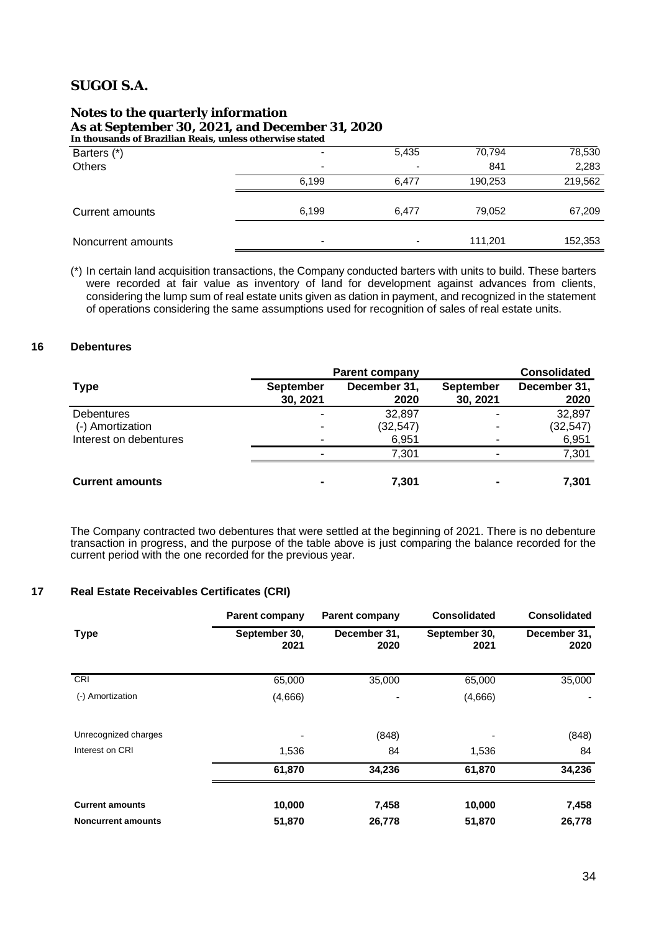# **Notes to the quarterly information As at September 30, 2021, and December 31, 2020**

**In thousands of Brazilian Reais, unless otherwise stated**

| Barters (*)        | $\overline{\phantom{0}}$ | 5,435                    | 70,794  | 78,530  |  |
|--------------------|--------------------------|--------------------------|---------|---------|--|
| Others             | -                        | $\overline{\phantom{a}}$ | 841     | 2,283   |  |
|                    | 6,199                    | 6.477                    | 190,253 | 219,562 |  |
|                    |                          |                          |         |         |  |
| Current amounts    | 6,199                    | 6,477                    | 79,052  | 67,209  |  |
|                    |                          |                          |         |         |  |
| Noncurrent amounts | -                        | $\overline{\phantom{a}}$ | 111,201 | 152,353 |  |

(\*) In certain land acquisition transactions, the Company conducted barters with units to build. These barters were recorded at fair value as inventory of land for development against advances from clients, considering the lump sum of real estate units given as dation in payment, and recognized in the statement of operations considering the same assumptions used for recognition of sales of real estate units.

#### **16 Debentures**

|                        | <b>Parent company</b>        | <b>Consolidated</b>  |                              |                      |
|------------------------|------------------------------|----------------------|------------------------------|----------------------|
| <b>Type</b>            | <b>September</b><br>30, 2021 | December 31,<br>2020 | <b>September</b><br>30, 2021 | December 31,<br>2020 |
| <b>Debentures</b>      |                              | 32,897               |                              | 32,897               |
| (-) Amortization       |                              | (32, 547)            |                              | (32, 547)            |
| Interest on debentures |                              | 6,951                |                              | 6,951                |
|                        |                              | 7,301                |                              | 7,301                |
| <b>Current amounts</b> |                              | 7.301                |                              | 7,301                |

The Company contracted two debentures that were settled at the beginning of 2021. There is no debenture transaction in progress, and the purpose of the table above is just comparing the balance recorded for the current period with the one recorded for the previous year.

### **17 Real Estate Receivables Certificates (CRI)**

|                           | <b>Parent company</b> | <b>Parent company</b> | <b>Consolidated</b>   | <b>Consolidated</b>  |
|---------------------------|-----------------------|-----------------------|-----------------------|----------------------|
| <b>Type</b>               | September 30,<br>2021 | December 31,<br>2020  | September 30,<br>2021 | December 31,<br>2020 |
| CRI                       | 65,000                | 35,000                | 65,000                | 35,000               |
| (-) Amortization          | (4,666)               |                       | (4,666)               |                      |
| Unrecognized charges      |                       | (848)                 |                       | (848)                |
| Interest on CRI           | 1,536                 | 84                    | 1,536                 | 84                   |
|                           | 61,870                | 34,236                | 61,870                | 34,236               |
| <b>Current amounts</b>    | 10,000                | 7,458                 | 10,000                | 7,458                |
| <b>Noncurrent amounts</b> | 51,870                | 26,778                | 51,870                | 26,778               |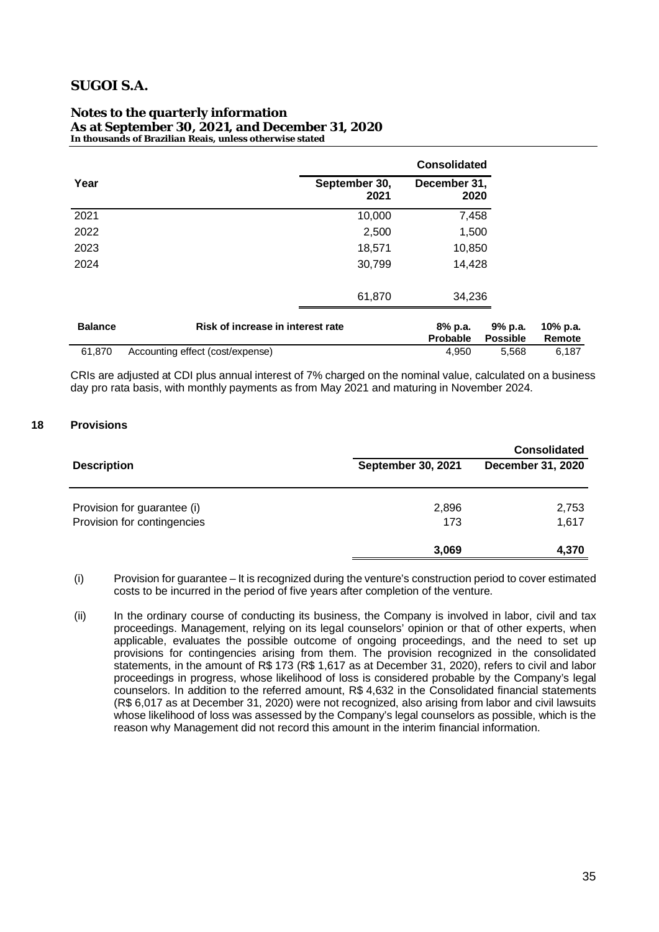#### **Notes to the quarterly information As at September 30, 2021, and December 31, 2020 In thousands of Brazilian Reais, unless otherwise stated**

|                |                                   |                       | <b>Consolidated</b>        |                            |                    |
|----------------|-----------------------------------|-----------------------|----------------------------|----------------------------|--------------------|
| Year           |                                   | September 30,<br>2021 | December 31,<br>2020       |                            |                    |
| 2021           |                                   | 10,000                | 7,458                      |                            |                    |
| 2022           |                                   | 2,500                 | 1,500                      |                            |                    |
| 2023           |                                   | 18,571                | 10,850                     |                            |                    |
| 2024           |                                   | 30,799                | 14,428                     |                            |                    |
|                |                                   | 61,870                | 34,236                     |                            |                    |
| <b>Balance</b> | Risk of increase in interest rate |                       | 8% p.a.<br><b>Probable</b> | 9% p.a.<br><b>Possible</b> | 10% p.a.<br>Remote |
| 61,870         | Accounting effect (cost/expense)  |                       | 4,950                      | 5,568                      | 6,187              |

CRIs are adjusted at CDI plus annual interest of 7% charged on the nominal value, calculated on a business day pro rata basis, with monthly payments as from May 2021 and maturing in November 2024.

### **18 Provisions**

|                             |                           | <b>Consolidated</b> |
|-----------------------------|---------------------------|---------------------|
| <b>Description</b>          | <b>September 30, 2021</b> | December 31, 2020   |
|                             |                           |                     |
| Provision for guarantee (i) | 2,896                     | 2,753               |
| Provision for contingencies | 173                       | 1,617               |
|                             | 3,069                     | 4,370               |

- (i) Provision for guarantee It is recognized during the venture's construction period to cover estimated costs to be incurred in the period of five years after completion of the venture.
- (ii) In the ordinary course of conducting its business, the Company is involved in labor, civil and tax proceedings. Management, relying on its legal counselors' opinion or that of other experts, when applicable, evaluates the possible outcome of ongoing proceedings, and the need to set up provisions for contingencies arising from them. The provision recognized in the consolidated statements, in the amount of R\$ 173 (R\$ 1,617 as at December 31, 2020), refers to civil and labor proceedings in progress, whose likelihood of loss is considered probable by the Company's legal counselors. In addition to the referred amount, R\$ 4,632 in the Consolidated financial statements (R\$ 6,017 as at December 31, 2020) were not recognized, also arising from labor and civil lawsuits whose likelihood of loss was assessed by the Company's legal counselors as possible, which is the reason why Management did not record this amount in the interim financial information.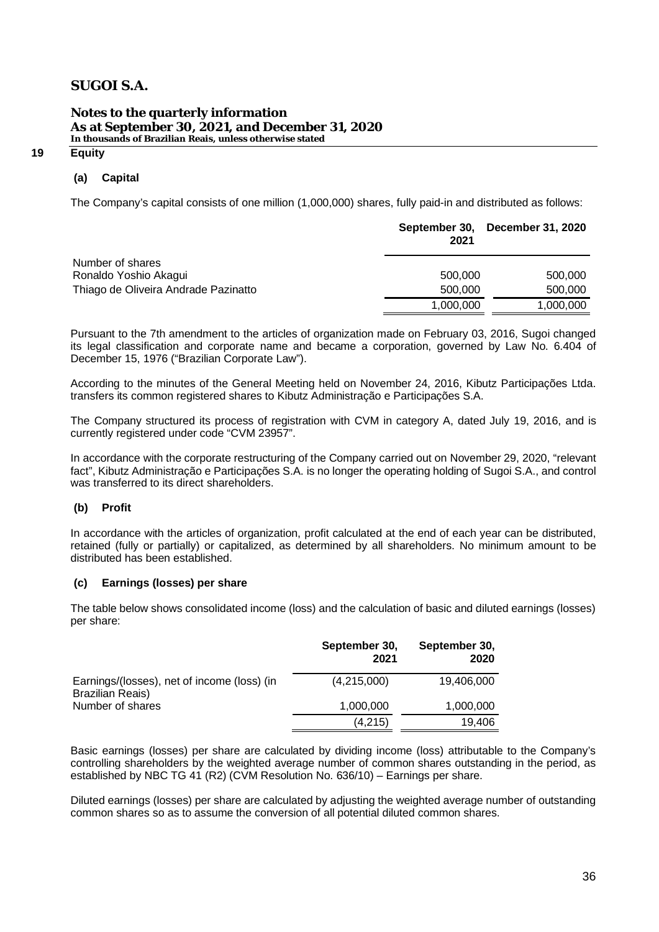### **Notes to the quarterly information As at September 30, 2021, and December 31, 2020 In thousands of Brazilian Reais, unless otherwise stated**

#### **19 Equity**

### **(a) Capital**

The Company's capital consists of one million (1,000,000) shares, fully paid-in and distributed as follows:

|                                           | 2021      | September 30, December 31, 2020 |
|-------------------------------------------|-----------|---------------------------------|
| Number of shares<br>Ronaldo Yoshio Akagui | 500,000   | 500,000                         |
| Thiago de Oliveira Andrade Pazinatto      | 500,000   | 500,000                         |
|                                           | 1,000,000 | 1,000,000                       |

Pursuant to the 7th amendment to the articles of organization made on February 03, 2016, Sugoi changed its legal classification and corporate name and became a corporation, governed by Law No. 6.404 of December 15, 1976 ("Brazilian Corporate Law").

According to the minutes of the General Meeting held on November 24, 2016, Kibutz Participações Ltda. transfers its common registered shares to Kibutz Administração e Participações S.A.

The Company structured its process of registration with CVM in category A, dated July 19, 2016, and is currently registered under code "CVM 23957".

In accordance with the corporate restructuring of the Company carried out on November 29, 2020, "relevant fact", Kibutz Administração e Participações S.A. is no longer the operating holding of Sugoi S.A., and control was transferred to its direct shareholders.

### **(b) Profit**

In accordance with the articles of organization, profit calculated at the end of each year can be distributed, retained (fully or partially) or capitalized, as determined by all shareholders. No minimum amount to be distributed has been established.

### **(c) Earnings (losses) per share**

The table below shows consolidated income (loss) and the calculation of basic and diluted earnings (losses) per share:

|                                                                        | September 30,<br>2021 | September 30,<br>2020 |
|------------------------------------------------------------------------|-----------------------|-----------------------|
| Earnings/(losses), net of income (loss) (in<br><b>Brazilian Reais)</b> | (4,215,000)           | 19,406,000            |
| Number of shares                                                       | 1,000,000             | 1,000,000             |
|                                                                        | (4, 215)              | 19,406                |

Basic earnings (losses) per share are calculated by dividing income (loss) attributable to the Company's controlling shareholders by the weighted average number of common shares outstanding in the period, as established by NBC TG 41 (R2) (CVM Resolution No. 636/10) – Earnings per share.

Diluted earnings (losses) per share are calculated by adjusting the weighted average number of outstanding common shares so as to assume the conversion of all potential diluted common shares.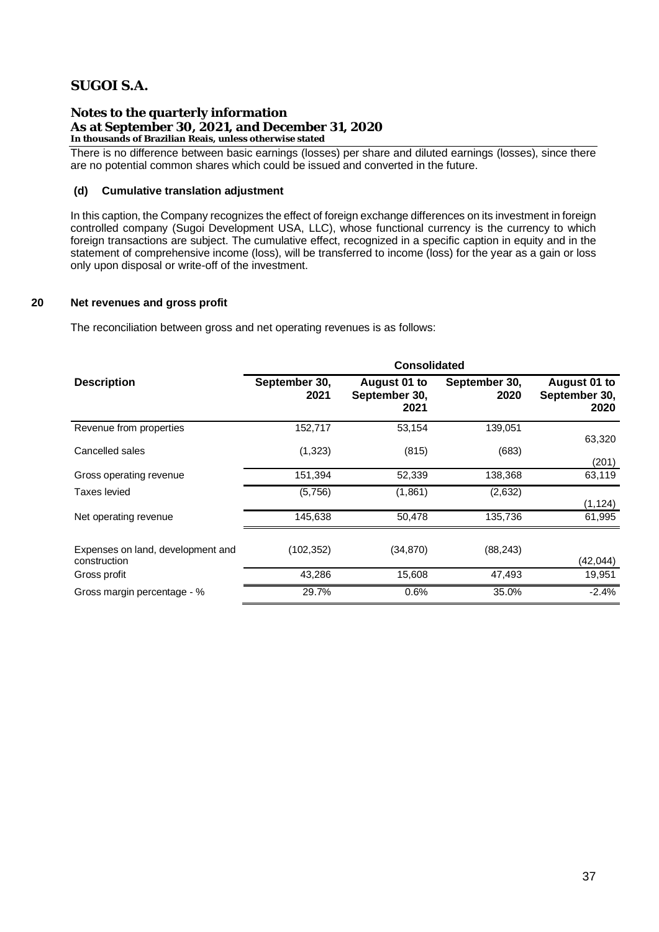**Notes to the quarterly information As at September 30, 2021, and December 31, 2020 In thousands of Brazilian Reais, unless otherwise stated**

There is no difference between basic earnings (losses) per share and diluted earnings (losses), since there are no potential common shares which could be issued and converted in the future.

### **(d) Cumulative translation adjustment**

In this caption, the Company recognizes the effect of foreign exchange differences on its investment in foreign controlled company (Sugoi Development USA, LLC), whose functional currency is the currency to which foreign transactions are subject. The cumulative effect, recognized in a specific caption in equity and in the statement of comprehensive income (loss), will be transferred to income (loss) for the year as a gain or loss only upon disposal or write-off of the investment.

### **20 Net revenues and gross profit**

The reconciliation between gross and net operating revenues is as follows:

|                                                   | <b>Consolidated</b>   |                                       |                       |                                       |  |  |  |
|---------------------------------------------------|-----------------------|---------------------------------------|-----------------------|---------------------------------------|--|--|--|
| <b>Description</b>                                | September 30,<br>2021 | August 01 to<br>September 30,<br>2021 | September 30,<br>2020 | August 01 to<br>September 30,<br>2020 |  |  |  |
| Revenue from properties                           | 152,717               | 53,154                                | 139,051               | 63,320                                |  |  |  |
| Cancelled sales                                   | (1,323)               | (815)                                 | (683)                 | (201)                                 |  |  |  |
| Gross operating revenue                           | 151,394               | 52,339                                | 138,368               | 63,119                                |  |  |  |
| Taxes levied                                      | (5,756)               | (1,861)                               | (2,632)               | (1, 124)                              |  |  |  |
| Net operating revenue                             | 145,638               | 50,478                                | 135,736               | 61,995                                |  |  |  |
| Expenses on land, development and<br>construction | (102,352)             | (34, 870)                             | (88, 243)             | (42, 044)                             |  |  |  |
| Gross profit                                      | 43,286                | 15,608                                | 47,493                | 19,951                                |  |  |  |
| Gross margin percentage - %                       | 29.7%                 | 0.6%                                  | 35.0%                 | $-2.4%$                               |  |  |  |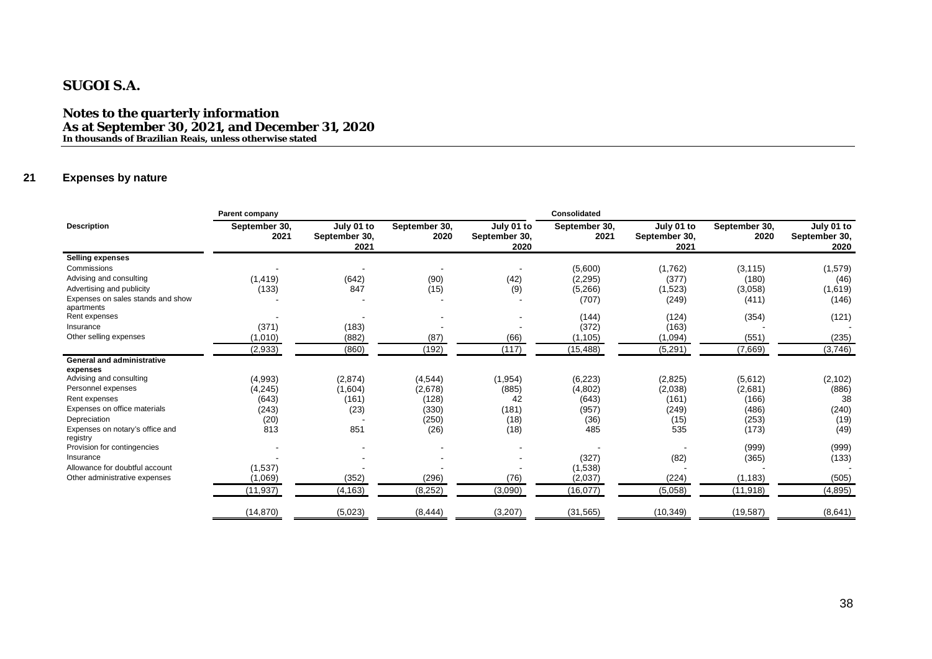**Notes to the quarterly information As at September 30, 2021, and December 31, 2020 In thousands of Brazilian Reais, unless otherwise stated**

### **21 Expenses by nature**

|                                                 | Parent company        |                                     |                       |                                     | Consolidated          |                                     |                       |                                     |
|-------------------------------------------------|-----------------------|-------------------------------------|-----------------------|-------------------------------------|-----------------------|-------------------------------------|-----------------------|-------------------------------------|
| <b>Description</b>                              | September 30,<br>2021 | July 01 to<br>September 30,<br>2021 | September 30,<br>2020 | July 01 to<br>September 30,<br>2020 | September 30,<br>2021 | July 01 to<br>September 30,<br>2021 | September 30,<br>2020 | July 01 to<br>September 30,<br>2020 |
| <b>Selling expenses</b>                         |                       |                                     |                       |                                     |                       |                                     |                       |                                     |
| Commissions                                     |                       | $\overline{\phantom{a}}$            |                       |                                     | (5,600)               | (1,762)                             | (3, 115)              | (1, 579)                            |
| Advising and consulting                         | (1, 419)              | (642)                               | (90)                  | (42)                                | (2, 295)              | (377)                               | (180)                 | (46)                                |
| Advertising and publicity                       | (133)                 | 847                                 | (15)                  | (9)                                 | (5,266)               | (1,523)                             | (3,058)               | (1,619)                             |
| Expenses on sales stands and show<br>apartments |                       |                                     |                       |                                     | (707)                 | (249)                               | (411)                 | (146)                               |
| Rent expenses                                   |                       |                                     |                       |                                     | (144)                 | (124)                               | (354)                 | (121)                               |
| Insurance                                       | (371)                 | (183)                               |                       |                                     | (372)                 | (163)                               |                       |                                     |
| Other selling expenses                          | (1,010)               | (882)                               | (87)                  | (66)                                | (1, 105)              | (1,094)                             | (551)                 | (235)                               |
|                                                 | (2,933)               | (860)                               | (192)                 | (117)                               | (15, 488)             | (5,291)                             | (7,669)               | (3,746)                             |
| <b>General and administrative</b><br>expenses   |                       |                                     |                       |                                     |                       |                                     |                       |                                     |
| Advising and consulting                         | (4,993)               | (2,874)                             | (4,544)               | (1, 954)                            | (6, 223)              | (2,825)                             | (5,612)               | (2, 102)                            |
| Personnel expenses                              | (4,245)               | (1,604)                             | (2,678)               | (885)                               | (4,802)               | (2,038)                             | (2,681)               | (886)                               |
| Rent expenses                                   | (643)                 | (161)                               | (128)                 | 42                                  | (643)                 | (161)                               | (166)                 | 38                                  |
| Expenses on office materials                    | (243)                 | (23)                                | (330)                 | (181)                               | (957)                 | (249)                               | (486)                 | (240)                               |
| Depreciation                                    | (20)                  |                                     | (250)                 | (18)                                | (36)                  | (15)                                | (253)                 | (19)                                |
| Expenses on notary's office and<br>registry     | 813                   | 851                                 | (26)                  | (18)                                | 485                   | 535                                 | (173)                 | (49)                                |
| Provision for contingencies                     |                       |                                     |                       |                                     |                       |                                     | (999)                 | (999)                               |
| Insurance                                       |                       |                                     |                       |                                     | (327)                 | (82)                                | (365)                 | (133)                               |
| Allowance for doubtful account                  | (1,537)               |                                     |                       |                                     | (1,538)               |                                     |                       |                                     |
| Other administrative expenses                   | (1,069)               | (352)                               | (296)                 | (76)                                | (2,037)               | (224)                               | (1, 183)              | (505)                               |
|                                                 | (11, 937)             | (4, 163)                            | (8,252)               | (3,090)                             | (16, 077)             | (5,058)                             | (11, 918)             | (4,895)                             |
|                                                 | (14, 870)             | (5,023)                             | (8, 444)              | (3,207)                             | (31, 565)             | (10, 349)                           | (19, 587)             | (8,641)                             |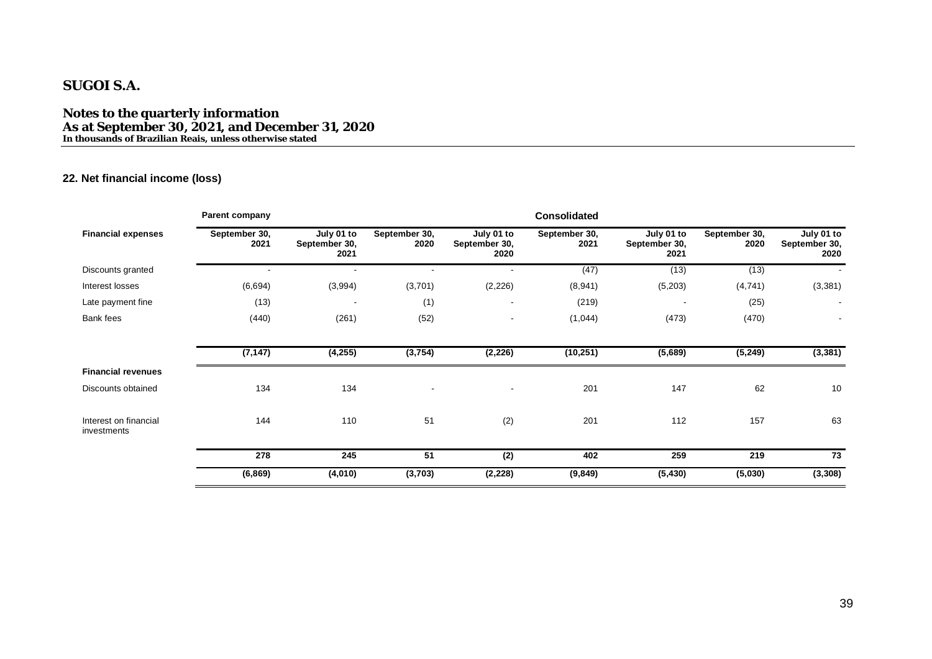**Notes to the quarterly information As at September 30, 2021, and December 31, 2020 In thousands of Brazilian Reais, unless otherwise stated**

### **22. Net financial income (loss)**

|                                      | Parent company           |                                     |                          |                                     | <b>Consolidated</b>   |                                     |                       |                                     |
|--------------------------------------|--------------------------|-------------------------------------|--------------------------|-------------------------------------|-----------------------|-------------------------------------|-----------------------|-------------------------------------|
| <b>Financial expenses</b>            | September 30,<br>2021    | July 01 to<br>September 30,<br>2021 | September 30,<br>2020    | July 01 to<br>September 30,<br>2020 | September 30,<br>2021 | July 01 to<br>September 30,<br>2021 | September 30,<br>2020 | July 01 to<br>September 30,<br>2020 |
| Discounts granted                    | $\overline{\phantom{a}}$ | $\blacksquare$                      | $\overline{\phantom{a}}$ |                                     | (47)                  | (13)                                | (13)                  |                                     |
| Interest losses                      | (6,694)                  | (3,994)                             | (3,701)                  | (2, 226)                            | (8,941)               | (5,203)                             | (4, 741)              | (3, 381)                            |
| Late payment fine                    | (13)                     |                                     | (1)                      | $\overline{\phantom{a}}$            | (219)                 |                                     | (25)                  | $\overline{\phantom{a}}$            |
| Bank fees                            | (440)                    | (261)                               | (52)                     | $\blacksquare$                      | (1,044)               | (473)                               | (470)                 |                                     |
|                                      | (7, 147)                 | (4, 255)                            | (3,754)                  | (2, 226)                            | (10, 251)             | (5,689)                             | (5, 249)              | (3, 381)                            |
| <b>Financial revenues</b>            |                          |                                     |                          |                                     |                       |                                     |                       |                                     |
| Discounts obtained                   | 134                      | 134                                 |                          | $\blacksquare$                      | 201                   | 147                                 | 62                    | 10                                  |
| Interest on financial<br>investments | 144                      | 110                                 | 51                       | (2)                                 | 201                   | 112                                 | 157                   | 63                                  |
|                                      | 278                      | 245                                 | 51                       | (2)                                 | 402                   | 259                                 | 219                   | 73                                  |
|                                      | (6, 869)                 | (4,010)                             | (3,703)                  | (2, 228)                            | (9, 849)              | (5, 430)                            | (5,030)               | (3, 308)                            |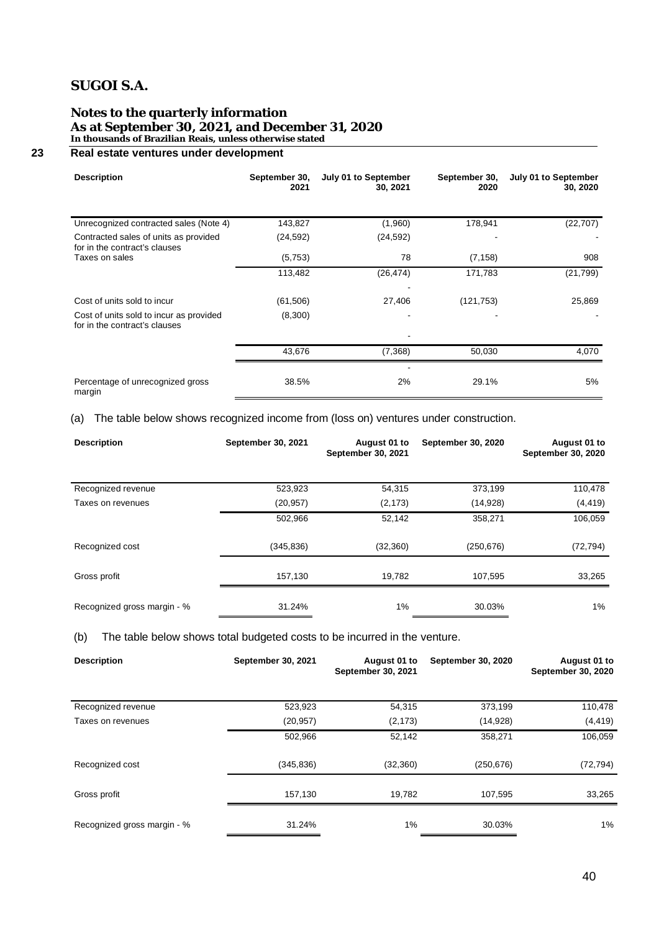#### **Notes to the quarterly information As at September 30, 2021, and December 31, 2020 In thousands of Brazilian Reais, unless otherwise stated**

### **23 Real estate ventures under development**

| <b>Description</b>                                                       | September 30,<br>2021 | July 01 to September<br>30, 2021 | September 30,<br>2020 | July 01 to September<br>30, 2020 |
|--------------------------------------------------------------------------|-----------------------|----------------------------------|-----------------------|----------------------------------|
| Unrecognized contracted sales (Note 4)                                   | 143,827               | (1,960)                          | 178,941               | (22, 707)                        |
| Contracted sales of units as provided<br>for in the contract's clauses   | (24, 592)             | (24, 592)                        |                       |                                  |
| Taxes on sales                                                           | (5,753)               | 78                               | (7, 158)              | 908                              |
|                                                                          | 113,482               | (26, 474)                        | 171,783               | (21, 799)                        |
| Cost of units sold to incur                                              | (61, 506)             | 27,406                           | (121, 753)            | 25,869                           |
| Cost of units sold to incur as provided<br>for in the contract's clauses | (8,300)               | ٠                                |                       |                                  |
|                                                                          | 43,676                | (7, 368)                         | 50,030                | 4,070                            |
| Percentage of unrecognized gross<br>margin                               | 38.5%                 | 2%                               | 29.1%                 | 5%                               |

### (a) The table below shows recognized income from (loss on) ventures under construction.

| <b>Description</b>          | September 30, 2021 | August 01 to<br>September 30, 2021 | September 30, 2020 | August 01 to<br>September 30, 2020 |
|-----------------------------|--------------------|------------------------------------|--------------------|------------------------------------|
| Recognized revenue          | 523,923            | 54,315                             | 373,199            | 110,478                            |
| Taxes on revenues           | (20, 957)          | (2, 173)                           | (14, 928)          | (4, 419)                           |
|                             | 502,966            | 52,142                             | 358,271            | 106,059                            |
| Recognized cost             | (345, 836)         | (32, 360)                          | (250, 676)         | (72, 794)                          |
| Gross profit                | 157,130            | 19,782                             | 107,595            | 33,265                             |
| Recognized gross margin - % | 31.24%             | 1%                                 | 30.03%             | 1%                                 |

(b) The table below shows total budgeted costs to be incurred in the venture.

| <b>Description</b>          | September 30, 2021 | August 01 to<br>September 30, 2021 | <b>September 30, 2020</b> | August 01 to<br>September 30, 2020 |
|-----------------------------|--------------------|------------------------------------|---------------------------|------------------------------------|
| Recognized revenue          | 523,923            | 54,315                             | 373,199                   | 110,478                            |
| Taxes on revenues           | (20, 957)          | (2, 173)                           | (14, 928)                 | (4, 419)                           |
|                             | 502,966            | 52,142                             | 358,271                   | 106,059                            |
| Recognized cost             | (345, 836)         | (32, 360)                          | (250, 676)                | (72, 794)                          |
| Gross profit                | 157,130            | 19,782                             | 107,595                   | 33,265                             |
| Recognized gross margin - % | 31.24%             | 1%                                 | 30.03%                    | 1%                                 |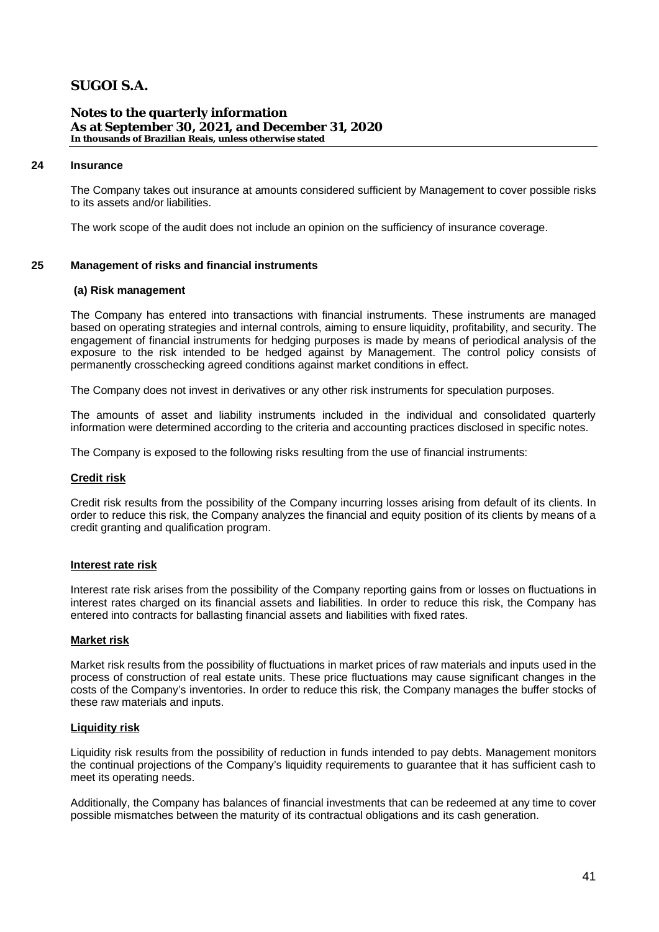**Notes to the quarterly information As at September 30, 2021, and December 31, 2020 In thousands of Brazilian Reais, unless otherwise stated**

#### **24 Insurance**

The Company takes out insurance at amounts considered sufficient by Management to cover possible risks to its assets and/or liabilities.

The work scope of the audit does not include an opinion on the sufficiency of insurance coverage.

#### **25 Management of risks and financial instruments**

#### **(a) Risk management**

The Company has entered into transactions with financial instruments. These instruments are managed based on operating strategies and internal controls, aiming to ensure liquidity, profitability, and security. The engagement of financial instruments for hedging purposes is made by means of periodical analysis of the exposure to the risk intended to be hedged against by Management. The control policy consists of permanently crosschecking agreed conditions against market conditions in effect.

The Company does not invest in derivatives or any other risk instruments for speculation purposes.

The amounts of asset and liability instruments included in the individual and consolidated quarterly information were determined according to the criteria and accounting practices disclosed in specific notes.

The Company is exposed to the following risks resulting from the use of financial instruments:

#### **Credit risk**

Credit risk results from the possibility of the Company incurring losses arising from default of its clients. In order to reduce this risk, the Company analyzes the financial and equity position of its clients by means of a credit granting and qualification program.

#### **Interest rate risk**

Interest rate risk arises from the possibility of the Company reporting gains from or losses on fluctuations in interest rates charged on its financial assets and liabilities. In order to reduce this risk, the Company has entered into contracts for ballasting financial assets and liabilities with fixed rates.

### **Market risk**

Market risk results from the possibility of fluctuations in market prices of raw materials and inputs used in the process of construction of real estate units. These price fluctuations may cause significant changes in the costs of the Company's inventories. In order to reduce this risk, the Company manages the buffer stocks of these raw materials and inputs.

#### **Liquidity risk**

Liquidity risk results from the possibility of reduction in funds intended to pay debts. Management monitors the continual projections of the Company's liquidity requirements to guarantee that it has sufficient cash to meet its operating needs.

Additionally, the Company has balances of financial investments that can be redeemed at any time to cover possible mismatches between the maturity of its contractual obligations and its cash generation.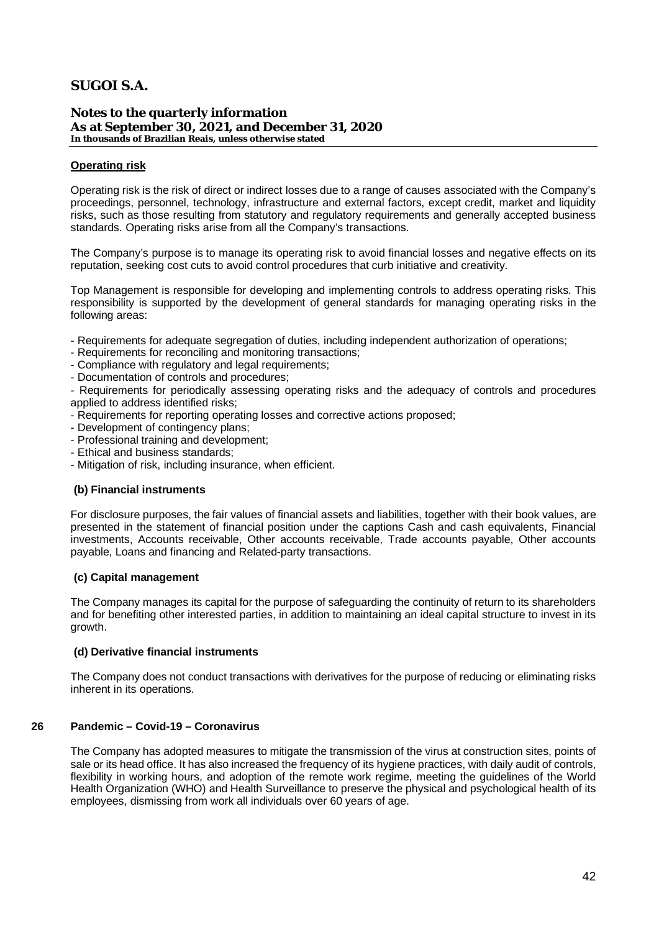**Notes to the quarterly information As at September 30, 2021, and December 31, 2020 In thousands of Brazilian Reais, unless otherwise stated**

### **Operating risk**

Operating risk is the risk of direct or indirect losses due to a range of causes associated with the Company's proceedings, personnel, technology, infrastructure and external factors, except credit, market and liquidity risks, such as those resulting from statutory and regulatory requirements and generally accepted business standards. Operating risks arise from all the Company's transactions.

The Company's purpose is to manage its operating risk to avoid financial losses and negative effects on its reputation, seeking cost cuts to avoid control procedures that curb initiative and creativity.

Top Management is responsible for developing and implementing controls to address operating risks. This responsibility is supported by the development of general standards for managing operating risks in the following areas:

- Requirements for adequate segregation of duties, including independent authorization of operations;
- Requirements for reconciling and monitoring transactions;
- Compliance with regulatory and legal requirements;
- Documentation of controls and procedures;

- Requirements for periodically assessing operating risks and the adequacy of controls and procedures applied to address identified risks;

- Requirements for reporting operating losses and corrective actions proposed;
- Development of contingency plans;
- Professional training and development;
- Ethical and business standards;
- Mitigation of risk, including insurance, when efficient.

### **(b) Financial instruments**

For disclosure purposes, the fair values of financial assets and liabilities, together with their book values, are presented in the statement of financial position under the captions Cash and cash equivalents, Financial investments, Accounts receivable, Other accounts receivable, Trade accounts payable, Other accounts payable, Loans and financing and Related-party transactions.

### **(c) Capital management**

The Company manages its capital for the purpose of safeguarding the continuity of return to its shareholders and for benefiting other interested parties, in addition to maintaining an ideal capital structure to invest in its growth.

### **(d) Derivative financial instruments**

The Company does not conduct transactions with derivatives for the purpose of reducing or eliminating risks inherent in its operations.

### **26 Pandemic – Covid-19 – Coronavirus**

The Company has adopted measures to mitigate the transmission of the virus at construction sites, points of sale or its head office. It has also increased the frequency of its hygiene practices, with daily audit of controls, flexibility in working hours, and adoption of the remote work regime, meeting the guidelines of the World Health Organization (WHO) and Health Surveillance to preserve the physical and psychological health of its employees, dismissing from work all individuals over 60 years of age.